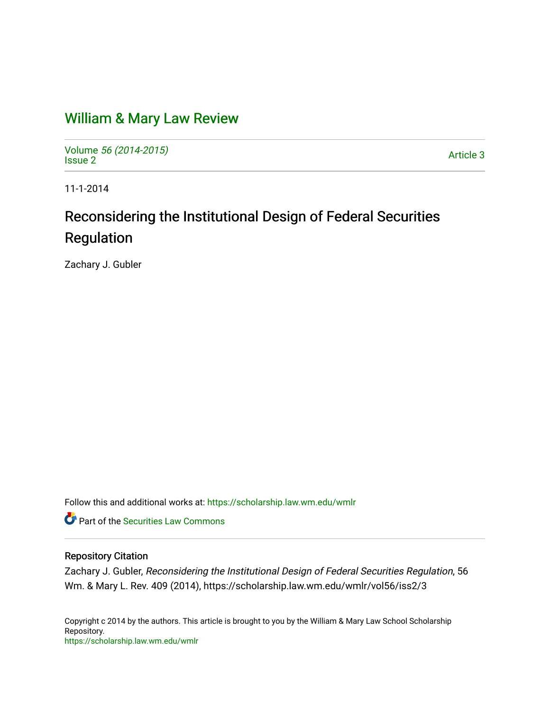## [William & Mary Law Review](https://scholarship.law.wm.edu/wmlr)

Volume [56 \(2014-2015\)](https://scholarship.law.wm.edu/wmlr/vol56)  volume 50 (2014-2015)<br>[Issue 2](https://scholarship.law.wm.edu/wmlr/vol56/iss2) Article 3

11-1-2014

# Reconsidering the Institutional Design of Federal Securities Regulation

Zachary J. Gubler

Follow this and additional works at: [https://scholarship.law.wm.edu/wmlr](https://scholarship.law.wm.edu/wmlr?utm_source=scholarship.law.wm.edu%2Fwmlr%2Fvol56%2Fiss2%2F3&utm_medium=PDF&utm_campaign=PDFCoverPages)

**P** Part of the Securities Law Commons

## Repository Citation

Zachary J. Gubler, Reconsidering the Institutional Design of Federal Securities Regulation, 56 Wm. & Mary L. Rev. 409 (2014), https://scholarship.law.wm.edu/wmlr/vol56/iss2/3

Copyright c 2014 by the authors. This article is brought to you by the William & Mary Law School Scholarship Repository. <https://scholarship.law.wm.edu/wmlr>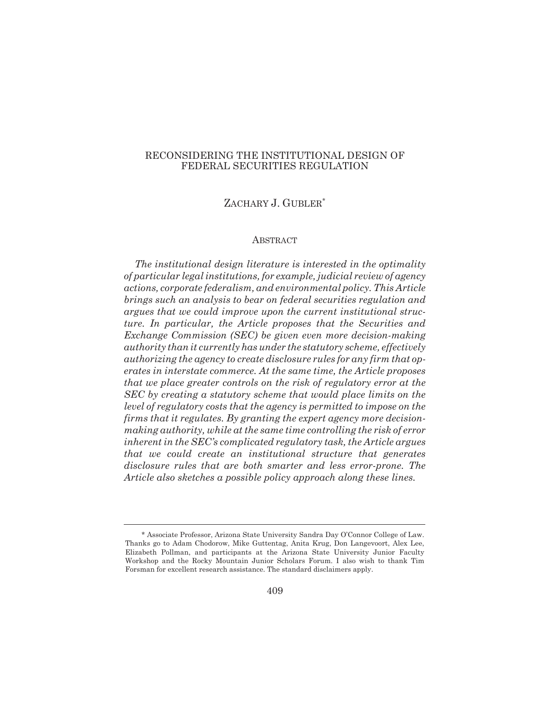## RECONSIDERING THE INSTITUTIONAL DESIGN OF FEDERAL SECURITIES REGULATION

## ZACHARY J. GUBLER\*

#### ABSTRACT

*The institutional design literature is interested in the optimality of particular legal institutions, for example, judicial review of agency actions, corporate federalism, and environmental policy. This Article brings such an analysis to bear on federal securities regulation and argues that we could improve upon the current institutional structure. In particular, the Article proposes that the Securities and Exchange Commission (SEC) be given even more decision-making authority than it currently has under the statutory scheme, effectively authorizing the agency to create disclosure rules for any firm that operates in interstate commerce. At the same time, the Article proposes that we place greater controls on the risk of regulatory error at the SEC by creating a statutory scheme that would place limits on the level of regulatory costs that the agency is permitted to impose on the firms that it regulates. By granting the expert agency more decisionmaking authority, while at the same time controlling the risk of error inherent in the SEC's complicated regulatory task, the Article argues that we could create an institutional structure that generates disclosure rules that are both smarter and less error-prone. The Article also sketches a possible policy approach along these lines.*

<sup>\*</sup> Associate Professor, Arizona State University Sandra Day O'Connor College of Law. Thanks go to Adam Chodorow, Mike Guttentag, Anita Krug, Don Langevoort, Alex Lee, Elizabeth Pollman, and participants at the Arizona State University Junior Faculty Workshop and the Rocky Mountain Junior Scholars Forum. I also wish to thank Tim Forsman for excellent research assistance. The standard disclaimers apply.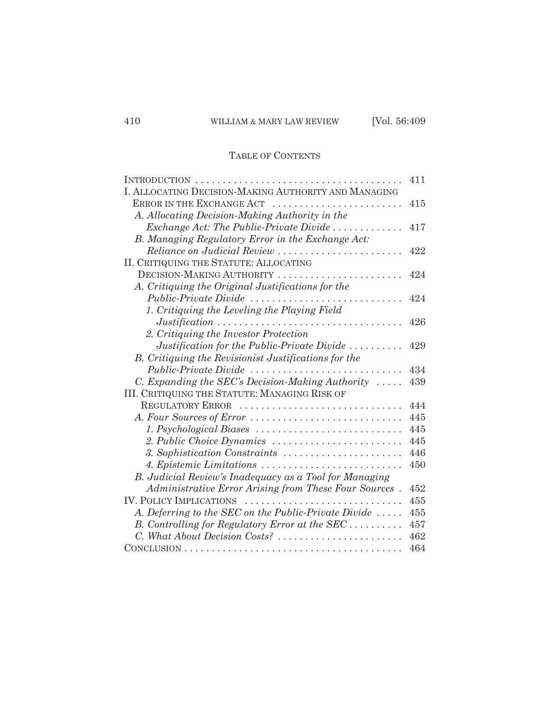## TABLE OF CONTENTS

|                                                                                         | 411 |
|-----------------------------------------------------------------------------------------|-----|
| I. ALLOCATING DECISION-MAKING AUTHORITY AND MANAGING                                    |     |
| ERROR IN THE EXCHANGE ACT                                                               | 415 |
| A. Allocating Decision-Making Authority in the                                          |     |
| Exchange Act: The Public-Private Divide $\dots\dots\dots\dots$                          | 417 |
| B. Managing Regulatory Error in the Exchange Act:                                       |     |
| Reliance on Judicial Review                                                             | 422 |
| II. CRITIQUING THE STATUTE: ALLOCATING                                                  |     |
| DECISION-MAKING AUTHORITY                                                               | 424 |
| A. Critiquing the Original Justifications for the                                       |     |
| Public-Private Divide                                                                   | 424 |
| 1. Critiquing the Leveling the Playing Field                                            |     |
| $Justification \dots \dots \dots \dots \dots \dots \dots \dots \dots \dots \dots \dots$ | 426 |
| 2. Critiquing the Investor Protection                                                   |     |
| Justification for the Public-Private Divide $\dots\dots\dots$                           | 429 |
| B. Critiquing the Revisionist Justifications for the                                    |     |
| Public-Private Divide                                                                   | 434 |
| C. Expanding the SEC's Decision-Making Authority $\ldots$ .                             | 439 |
| III. CRITIQUING THE STATUTE: MANAGING RISK OF                                           |     |
| REGULATORY ERROR                                                                        | 444 |
| A. Four Sources of Error                                                                | 445 |
|                                                                                         | 445 |
| 2. Public Choice Dynamics                                                               | 445 |
| 3. Sophistication Constraints                                                           | 446 |
| 4. Epistemic Limitations                                                                | 450 |
| B. Judicial Review's Inadequacy as a Tool for Managing                                  |     |
| Administrative Error Arising from These Four Sources.                                   | 452 |
| <b>IV. POLICY IMPLICATIONS</b>                                                          | 455 |
| A. Deferring to the SEC on the Public-Private Divide                                    | 455 |
| B. Controlling for Regulatory Error at the SEC                                          | 457 |
| C. What About Decision Costs?                                                           | 462 |
|                                                                                         | 464 |
|                                                                                         |     |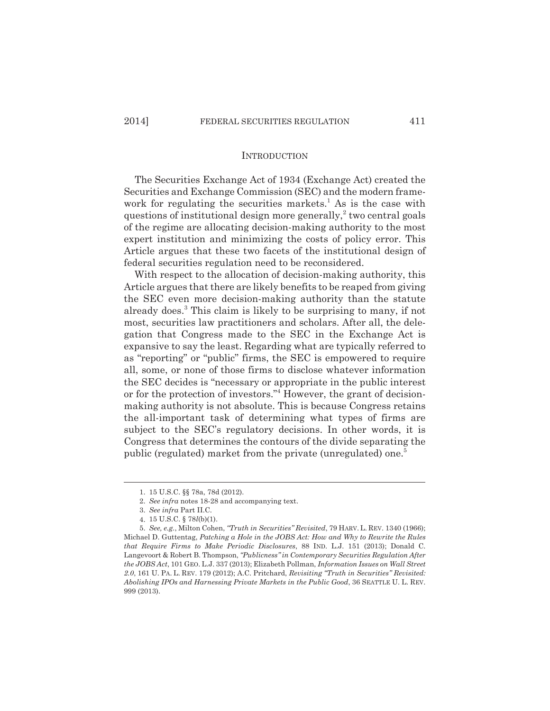### **INTRODUCTION**

The Securities Exchange Act of 1934 (Exchange Act) created the Securities and Exchange Commission (SEC) and the modern framework for regulating the securities markets.<sup>1</sup> As is the case with questions of institutional design more generally,<sup>2</sup> two central goals of the regime are allocating decision-making authority to the most expert institution and minimizing the costs of policy error. This Article argues that these two facets of the institutional design of federal securities regulation need to be reconsidered.

With respect to the allocation of decision-making authority, this Article argues that there are likely benefits to be reaped from giving the SEC even more decision-making authority than the statute already does.<sup>3</sup> This claim is likely to be surprising to many, if not most, securities law practitioners and scholars. After all, the delegation that Congress made to the SEC in the Exchange Act is expansive to say the least. Regarding what are typically referred to as "reporting" or "public" firms, the SEC is empowered to require all, some, or none of those firms to disclose whatever information the SEC decides is "necessary or appropriate in the public interest or for the protection of investors."<sup>4</sup> However, the grant of decisionmaking authority is not absolute. This is because Congress retains the all-important task of determining what types of firms are subject to the SEC's regulatory decisions. In other words, it is Congress that determines the contours of the divide separating the public (regulated) market from the private (unregulated) one.<sup>5</sup>

<sup>1.</sup> 15 U.S.C. §§ 78a, 78d (2012).

<sup>2.</sup> *See infra* notes 18-28 and accompanying text.

<sup>3.</sup> *See infra* Part II.C.

<sup>4.</sup> 15 U.S.C. § 78*l*(b)(1).

<sup>5.</sup> *See, e.g.*, Milton Cohen, *"Truth in Securities" Revisited*, 79 HARV. L. REV. 1340 (1966); Michael D. Guttentag, *Patching a Hole in the JOBS Act: How and Why to Rewrite the Rules that Require Firms to Make Periodic Disclosures*, 88 IND. L.J. 151 (2013); Donald C. Langevoort & Robert B. Thompson, *"Publicness" in Contemporary Securities Regulation After the JOBS Act*, 101 GEO. L.J. 337 (2013); Elizabeth Pollman, *Information Issues on Wall Street 2.0*, 161 U. PA. L. REV. 179 (2012); A.C. Pritchard, *Revisiting "Truth in Securities" Revisited: Abolishing IPOs and Harnessing Private Markets in the Public Good*, 36 SEATTLE U. L. REV. 999 (2013).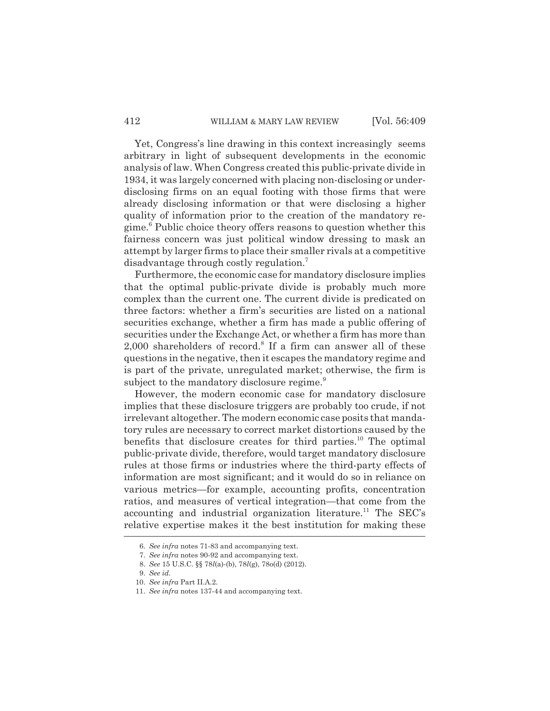Yet, Congress's line drawing in this context increasingly seems arbitrary in light of subsequent developments in the economic analysis of law. When Congress created this public-private divide in 1934, it was largely concerned with placing non-disclosing or underdisclosing firms on an equal footing with those firms that were already disclosing information or that were disclosing a higher quality of information prior to the creation of the mandatory regime.<sup>6</sup> Public choice theory offers reasons to question whether this fairness concern was just political window dressing to mask an attempt by larger firms to place their smaller rivals at a competitive disadvantage through costly regulation.<sup>7</sup>

Furthermore, the economic case for mandatory disclosure implies that the optimal public-private divide is probably much more complex than the current one. The current divide is predicated on three factors: whether a firm's securities are listed on a national securities exchange, whether a firm has made a public offering of securities under the Exchange Act, or whether a firm has more than  $2,000$  shareholders of record.<sup>8</sup> If a firm can answer all of these questions in the negative, then it escapes the mandatory regime and is part of the private, unregulated market; otherwise, the firm is subject to the mandatory disclosure regime.<sup>9</sup>

However, the modern economic case for mandatory disclosure implies that these disclosure triggers are probably too crude, if not irrelevant altogether. The modern economic case posits that mandatory rules are necessary to correct market distortions caused by the benefits that disclosure creates for third parties.<sup>10</sup> The optimal public-private divide, therefore, would target mandatory disclosure rules at those firms or industries where the third-party effects of information are most significant; and it would do so in reliance on various metrics—for example, accounting profits, concentration ratios, and measures of vertical integration—that come from the accounting and industrial organization literature.<sup>11</sup> The SEC's relative expertise makes it the best institution for making these

<sup>6.</sup> *See infra* notes 71-83 and accompanying text.

<sup>7.</sup> *See infra* notes 90-92 and accompanying text.

<sup>8.</sup> *See* 15 U.S.C. §§ 78*l*(a)-(b), 78*l*(g), 78o(d) (2012).

<sup>9.</sup> *See id.*

<sup>10.</sup> *See infra* Part II.A.2.

<sup>11.</sup> *See infra* notes 137-44 and accompanying text.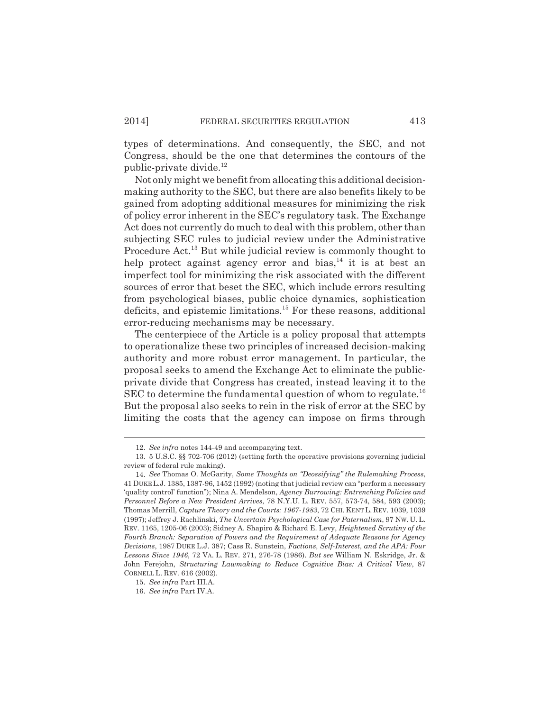types of determinations. And consequently, the SEC, and not Congress, should be the one that determines the contours of the public-private divide.<sup>12</sup>

Not only might we benefit from allocating this additional decisionmaking authority to the SEC, but there are also benefits likely to be gained from adopting additional measures for minimizing the risk of policy error inherent in the SEC's regulatory task. The Exchange Act does not currently do much to deal with this problem, other than subjecting SEC rules to judicial review under the Administrative Procedure Act.<sup>13</sup> But while judicial review is commonly thought to help protect against agency error and bias, $14$  it is at best an imperfect tool for minimizing the risk associated with the different sources of error that beset the SEC, which include errors resulting from psychological biases, public choice dynamics, sophistication deficits, and epistemic limitations.<sup>15</sup> For these reasons, additional error-reducing mechanisms may be necessary.

The centerpiece of the Article is a policy proposal that attempts to operationalize these two principles of increased decision-making authority and more robust error management. In particular, the proposal seeks to amend the Exchange Act to eliminate the publicprivate divide that Congress has created, instead leaving it to the SEC to determine the fundamental question of whom to regulate.<sup>16</sup> But the proposal also seeks to rein in the risk of error at the SEC by limiting the costs that the agency can impose on firms through

<sup>12.</sup> *See infra* notes 144-49 and accompanying text.

<sup>13. 5</sup> U.S.C. §§ 702-706 (2012) (setting forth the operative provisions governing judicial review of federal rule making).

<sup>14.</sup> *See* Thomas O. McGarity, *Some Thoughts on "Deossifying" the Rulemaking Process*, 41 DUKE L.J. 1385, 1387-96, 1452 (1992) (noting that judicial review can "perform a necessary 'quality control' function"); Nina A. Mendelson, *Agency Burrowing: Entrenching Policies and Personnel Before a New President Arrives*, 78 N.Y.U. L. REV. 557, 573-74, 584, 593 (2003); Thomas Merrill, *Capture Theory and the Courts: 1967-1983*, 72 CHI. KENT L. REV. 1039, 1039 (1997); Jeffrey J. Rachlinski, *The Uncertain Psychological Case for Paternalism*, 97 NW. U. L. REV. 1165, 1205-06 (2003); Sidney A. Shapiro & Richard E. Levy, *Heightened Scrutiny of the Fourth Branch: Separation of Powers and the Requirement of Adequate Reasons for Agency Decisions*, 1987 DUKE L.J. 387; Cass R. Sunstein, *Factions, Self-Interest, and the APA: Four Lessons Since 1946*, 72 VA. L. REV. 271, 276-78 (1986). *But see* William N. Eskridge, Jr. & John Ferejohn, *Structuring Lawmaking to Reduce Cognitive Bias: A Critical View*, 87 CORNELL L. REV. 616 (2002).

<sup>15.</sup> *See infra* Part III.A.

<sup>16.</sup> *See infra* Part IV.A.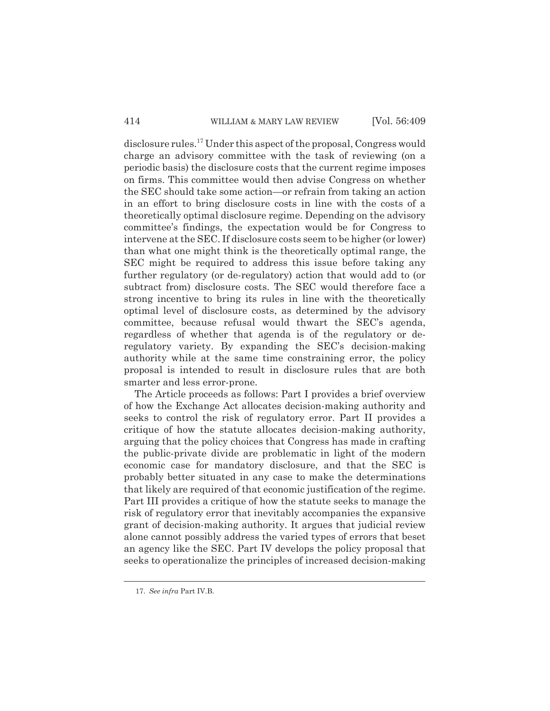disclosure rules.<sup>17</sup> Under this aspect of the proposal, Congress would charge an advisory committee with the task of reviewing (on a periodic basis) the disclosure costs that the current regime imposes on firms. This committee would then advise Congress on whether the SEC should take some action—or refrain from taking an action in an effort to bring disclosure costs in line with the costs of a theoretically optimal disclosure regime. Depending on the advisory committee's findings, the expectation would be for Congress to intervene at the SEC. If disclosure costs seem to be higher (or lower) than what one might think is the theoretically optimal range, the SEC might be required to address this issue before taking any further regulatory (or de-regulatory) action that would add to (or subtract from) disclosure costs. The SEC would therefore face a strong incentive to bring its rules in line with the theoretically optimal level of disclosure costs, as determined by the advisory committee, because refusal would thwart the SEC's agenda, regardless of whether that agenda is of the regulatory or deregulatory variety. By expanding the SEC's decision-making authority while at the same time constraining error, the policy proposal is intended to result in disclosure rules that are both smarter and less error-prone.

The Article proceeds as follows: Part I provides a brief overview of how the Exchange Act allocates decision-making authority and seeks to control the risk of regulatory error. Part II provides a critique of how the statute allocates decision-making authority, arguing that the policy choices that Congress has made in crafting the public-private divide are problematic in light of the modern economic case for mandatory disclosure, and that the SEC is probably better situated in any case to make the determinations that likely are required of that economic justification of the regime. Part III provides a critique of how the statute seeks to manage the risk of regulatory error that inevitably accompanies the expansive grant of decision-making authority. It argues that judicial review alone cannot possibly address the varied types of errors that beset an agency like the SEC. Part IV develops the policy proposal that seeks to operationalize the principles of increased decision-making

<sup>17.</sup> *See infra* Part IV.B.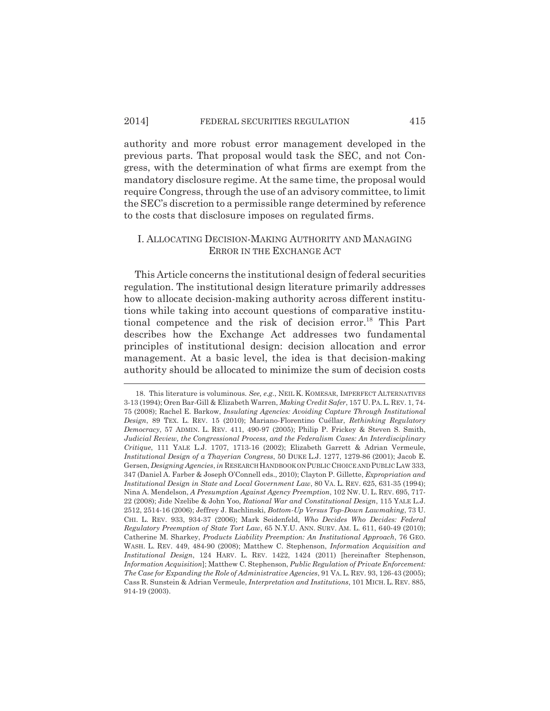authority and more robust error management developed in the previous parts. That proposal would task the SEC, and not Congress, with the determination of what firms are exempt from the mandatory disclosure regime. At the same time, the proposal would require Congress, through the use of an advisory committee, to limit the SEC's discretion to a permissible range determined by reference to the costs that disclosure imposes on regulated firms.

## I. ALLOCATING DECISION-MAKING AUTHORITY AND MANAGING ERROR IN THE EXCHANGE ACT

This Article concerns the institutional design of federal securities regulation. The institutional design literature primarily addresses how to allocate decision-making authority across different institutions while taking into account questions of comparative institutional competence and the risk of decision error.<sup>18</sup> This Part describes how the Exchange Act addresses two fundamental principles of institutional design: decision allocation and error management. At a basic level, the idea is that decision-making authority should be allocated to minimize the sum of decision costs

<sup>18.</sup> This literature is voluminous. *See, e.g.*, NEIL K. KOMESAR, IMPERFECT ALTERNATIVES 3-13 (1994); Oren Bar-Gill & Elizabeth Warren, *Making Credit Safer*, 157 U.PA.L.REV. 1, 74- 75 (2008); Rachel E. Barkow, *Insulating Agencies: Avoiding Capture Through Institutional Design*, 89 TEX. L. REV. 15 (2010); Mariano-Florentino Cuéllar, *Rethinking Regulatory Democracy*, 57 ADMIN. L. REV. 411, 490-97 (2005); Philip P. Frickey & Steven S. Smith, *Judicial Review, the Congressional Process, and the Federalism Cases: An Interdisciplinary Critique*, 111 YALE L.J. 1707, 1713-16 (2002); Elizabeth Garrett & Adrian Vermeule, *Institutional Design of a Thayerian Congress*, 50 DUKE L.J. 1277, 1279-86 (2001); Jacob E. Gersen, *Designing Agencies*, *in* RESEARCH HANDBOOK ON PUBLIC CHOICE AND PUBLIC LAW 333, 347 (Daniel A. Farber & Joseph O'Connell eds., 2010); Clayton P. Gillette, *Expropriation and Institutional Design in State and Local Government Law*, 80 VA. L. REV. 625, 631-35 (1994); Nina A. Mendelson, *A Presumption Against Agency Preemption*, 102 NW. U. L. REV. 695, 717- 22 (2008); Jide Nzelibe & John Yoo, *Rational War and Constitutional Design*, 115 YALE L.J. 2512, 2514-16 (2006); Jeffrey J. Rachlinski, *Bottom-Up Versus Top-Down Lawmaking*, 73 U. CHI. L. REV. 933, 934-37 (2006); Mark Seidenfeld, *Who Decides Who Decides: Federal Regulatory Preemption of State Tort Law*, 65 N.Y.U. ANN. SURV. AM. L. 611, 640-49 (2010); Catherine M. Sharkey, *Products Liability Preemption: An Institutional Approach*, 76 GEO. WASH. L. REV. 449, 484-90 (2008); Matthew C. Stephenson, *Information Acquisition and Institutional Design*, 124 HARV. L. REV. 1422, 1424 (2011) [hereinafter Stephenson, *Information Acquisition*]; Matthew C. Stephenson, *Public Regulation of Private Enforcement: The Case for Expanding the Role of Administrative Agencies*, 91 VA.L. REV. 93, 126-43 (2005); Cass R. Sunstein & Adrian Vermeule, *Interpretation and Institutions*, 101 MICH. L. REV. 885, 914-19 (2003).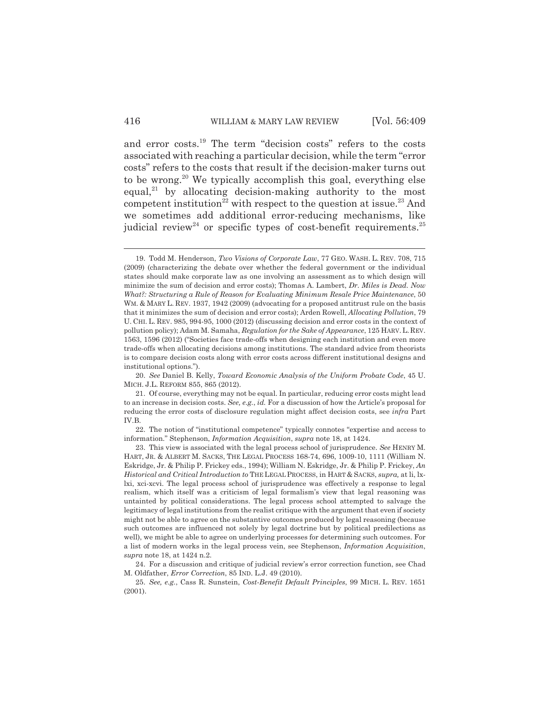and error costs.<sup>19</sup> The term "decision costs" refers to the costs associated with reaching a particular decision, while the term "error costs" refers to the costs that result if the decision-maker turns out to be wrong.<sup>20</sup> We typically accomplish this goal, everything else equal, $^{21}$  by allocating decision-making authority to the most competent institution<sup>22</sup> with respect to the question at issue.<sup>23</sup> And we sometimes add additional error-reducing mechanisms, like judicial review<sup>24</sup> or specific types of cost-benefit requirements.<sup>25</sup>

<sup>19.</sup> Todd M. Henderson, *Two Visions of Corporate Law*, 77 GEO. WASH. L. REV. 708, 715 (2009) (characterizing the debate over whether the federal government or the individual states should make corporate law as one involving an assessment as to which design will minimize the sum of decision and error costs); Thomas A. Lambert, *Dr. Miles is Dead. Now What?: Structuring a Rule of Reason for Evaluating Minimum Resale Price Maintenance*, 50 WM. & MARY L. REV. 1937, 1942 (2009) (advocating for a proposed antitrust rule on the basis that it minimizes the sum of decision and error costs); Arden Rowell, *Allocating Pollution*, 79 U. CHI. L. REV. 985, 994-95, 1000 (2012) (discussing decision and error costs in the context of pollution policy); Adam M. Samaha, *Regulation for the Sake of Appearance*, 125 HARV.L. REV. 1563, 1596 (2012) ("Societies face trade-offs when designing each institution and even more trade-offs when allocating decisions among institutions. The standard advice from theorists is to compare decision costs along with error costs across different institutional designs and institutional options.").

<sup>20.</sup> *See* Daniel B. Kelly, *Toward Economic Analysis of the Uniform Probate Code*, 45 U. MICH. J.L. REFORM 855, 865 (2012).

<sup>21.</sup> Of course, everything may not be equal. In particular, reducing error costs might lead to an increase in decision costs. *See, e.g.*, *id.* For a discussion of how the Article's proposal for reducing the error costs of disclosure regulation might affect decision costs, see *infra* Part IV.B.

<sup>22.</sup> The notion of "institutional competence" typically connotes "expertise and access to information." Stephenson, *Information Acquisition*, *supra* note 18, at 1424.

<sup>23.</sup> This view is associated with the legal process school of jurisprudence. *See* HENRY M. HART, JR. & ALBERT M. SACKS, THE LEGAL PROCESS 168-74, 696, 1009-10, 1111 (William N. Eskridge, Jr. & Philip P. Frickey eds., 1994); William N. Eskridge, Jr. & Philip P. Frickey, *An Historical and Critical Introduction to* THE LEGAL PROCESS, in HART & SACKS, *supra,* at li, lxlxi, xci-xcvi. The legal process school of jurisprudence was effectively a response to legal realism, which itself was a criticism of legal formalism's view that legal reasoning was untainted by political considerations. The legal process school attempted to salvage the legitimacy of legal institutions from the realist critique with the argument that even if society might not be able to agree on the substantive outcomes produced by legal reasoning (because such outcomes are influenced not solely by legal doctrine but by political predilections as well), we might be able to agree on underlying processes for determining such outcomes. For a list of modern works in the legal process vein, see Stephenson, *Information Acquisition*, *supra* note 18, at 1424 n.2.

<sup>24.</sup> For a discussion and critique of judicial review's error correction function, see Chad M. Oldfather, *Error Correction*, 85 IND. L.J. 49 (2010).

<sup>25.</sup> *See, e.g.*, Cass R. Sunstein, *Cost-Benefit Default Principles*, 99 MICH. L. REV. 1651 (2001).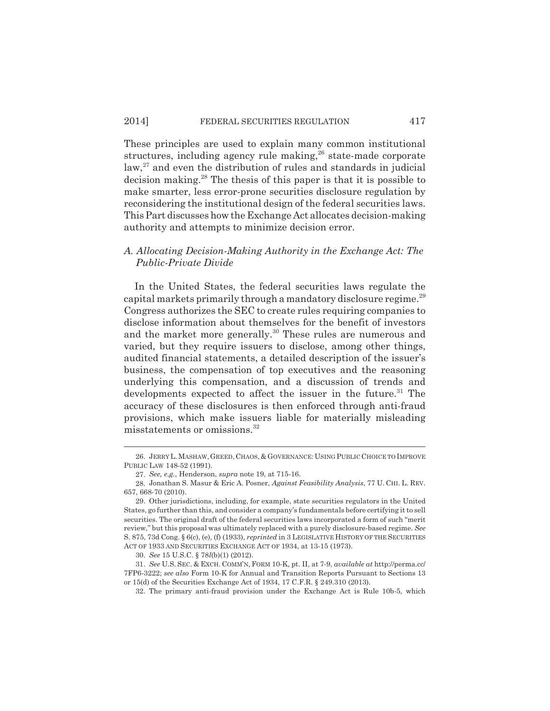These principles are used to explain many common institutional structures, including agency rule making,<sup>26</sup> state-made corporate  $\alpha$ <sup>27</sup> and even the distribution of rules and standards in judicial decision making.<sup>28</sup> The thesis of this paper is that it is possible to make smarter, less error-prone securities disclosure regulation by reconsidering the institutional design of the federal securities laws. This Part discusses how the Exchange Act allocates decision-making authority and attempts to minimize decision error.

## *A. Allocating Decision-Making Authority in the Exchange Act: The Public-Private Divide*

In the United States, the federal securities laws regulate the capital markets primarily through a mandatory disclosure regime.<sup>29</sup> Congress authorizes the SEC to create rules requiring companies to disclose information about themselves for the benefit of investors and the market more generally.<sup>30</sup> These rules are numerous and varied, but they require issuers to disclose, among other things, audited financial statements, a detailed description of the issuer's business, the compensation of top executives and the reasoning underlying this compensation, and a discussion of trends and developments expected to affect the issuer in the future.<sup>31</sup> The accuracy of these disclosures is then enforced through anti-fraud provisions, which make issuers liable for materially misleading misstatements or omissions.<sup>32</sup>

<sup>26.</sup> JERRY L.MASHAW,GREED, CHAOS, & GOVERNANCE: USING PUBLIC CHOICE TO IMPROVE PUBLIC LAW 148-52 (1991).

<sup>27.</sup> *See, e.g.*, Henderson, *supra* note 19, at 715-16.

<sup>28.</sup> Jonathan S. Masur & Eric A. Posner, *Against Feasibility Analysis*, 77 U. CHI. L. REV. 657, 668-70 (2010).

<sup>29.</sup> Other jurisdictions, including, for example, state securities regulators in the United States, go further than this, and consider a company's fundamentals before certifying it to sell securities. The original draft of the federal securities laws incorporated a form of such "merit review," but this proposal was ultimately replaced with a purely disclosure-based regime. *See* S. 875, 73d Cong. § 6(c), (e), (f) (1933), *reprinted* in 3 LEGISLATIVE HISTORY OF THE SECURITIES ACT OF 1933 AND SECURITIES EXCHANGE ACT OF 1934, at 13-15 (1973).

<sup>30.</sup> *See* 15 U.S.C. § 78*l*(b)(1) (2012).

<sup>31.</sup> *See* U.S. SEC. & EXCH. COMM'N, FORM 10-K, pt. II, at 7-9, *available at* http://perma.cc/ 7FP6-3222; *see also* Form 10-K for Annual and Transition Reports Pursuant to Sections 13 or 15(d) of the Securities Exchange Act of 1934, 17 C.F.R. § 249.310 (2013).

<sup>32.</sup> The primary anti-fraud provision under the Exchange Act is Rule 10b-5, which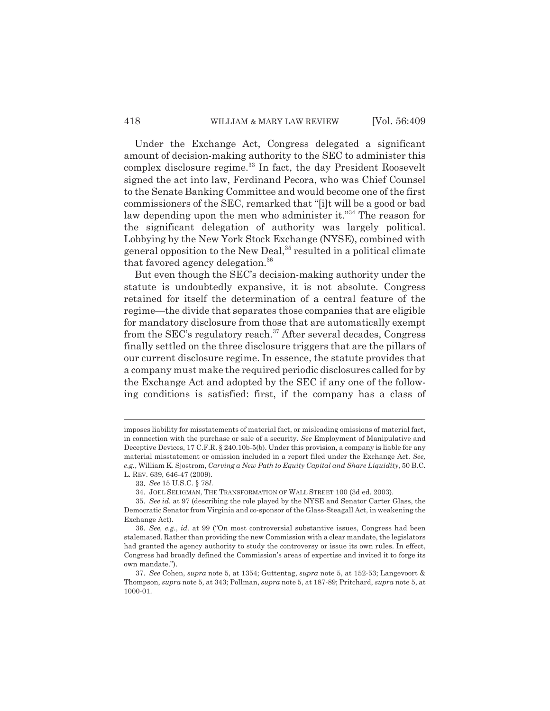#### 418 WILLIAM & MARY LAW REVIEW [Vol. 56:409

Under the Exchange Act, Congress delegated a significant amount of decision-making authority to the SEC to administer this complex disclosure regime.<sup>33</sup> In fact, the day President Roosevelt signed the act into law, Ferdinand Pecora, who was Chief Counsel to the Senate Banking Committee and would become one of the first commissioners of the SEC, remarked that "[i]t will be a good or bad law depending upon the men who administer it."<sup>34</sup> The reason for the significant delegation of authority was largely political. Lobbying by the New York Stock Exchange (NYSE), combined with general opposition to the New Deal, $35$  resulted in a political climate that favored agency delegation.<sup>36</sup>

But even though the SEC's decision-making authority under the statute is undoubtedly expansive, it is not absolute. Congress retained for itself the determination of a central feature of the regime—the divide that separates those companies that are eligible for mandatory disclosure from those that are automatically exempt from the SEC's regulatory reach.<sup>37</sup> After several decades, Congress finally settled on the three disclosure triggers that are the pillars of our current disclosure regime. In essence, the statute provides that a company must make the required periodic disclosures called for by the Exchange Act and adopted by the SEC if any one of the following conditions is satisfied: first, if the company has a class of

imposes liability for misstatements of material fact, or misleading omissions of material fact, in connection with the purchase or sale of a security. *See* Employment of Manipulative and Deceptive Devices, 17 C.F.R. § 240.10b-5(b). Under this provision, a company is liable for any material misstatement or omission included in a report filed under the Exchange Act. *See, e.g.*, William K. Sjostrom, *Carving a New Path to Equity Capital and Share Liquidity*, 50 B.C. L. REV. 639, 646-47 (2009).

<sup>33.</sup> *See* 15 U.S.C. § 78*l*.

<sup>34.</sup> JOEL SELIGMAN, THE TRANSFORMATION OF WALL STREET 100 (3d ed. 2003).

<sup>35.</sup> *See id.* at 97 (describing the role played by the NYSE and Senator Carter Glass, the Democratic Senator from Virginia and co-sponsor of the Glass-Steagall Act, in weakening the Exchange Act).

<sup>36.</sup> *See, e.g.*, *id.* at 99 ("On most controversial substantive issues, Congress had been stalemated. Rather than providing the new Commission with a clear mandate, the legislators had granted the agency authority to study the controversy or issue its own rules. In effect, Congress had broadly defined the Commission's areas of expertise and invited it to forge its own mandate.").

<sup>37.</sup> *See* Cohen, *supra* note 5, at 1354; Guttentag, *supra* note 5, at 152-53; Langevoort & Thompson, *supra* note 5, at 343; Pollman, *supra* note 5, at 187-89; Pritchard, *supra* note 5, at 1000-01.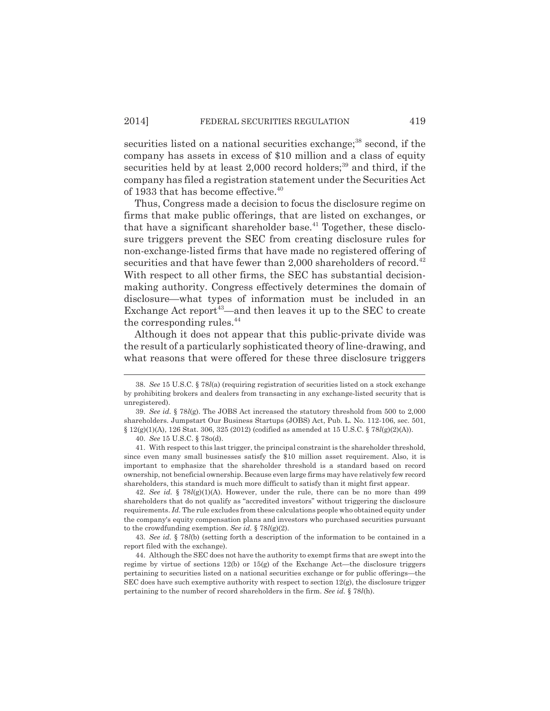securities listed on a national securities exchange;<sup>38</sup> second, if the company has assets in excess of \$10 million and a class of equity securities held by at least  $2,000$  record holders;<sup>39</sup> and third, if the company has filed a registration statement under the Securities Act of 1933 that has become effective.<sup>40</sup>

Thus, Congress made a decision to focus the disclosure regime on firms that make public offerings, that are listed on exchanges, or that have a significant shareholder base.<sup> $41$ </sup> Together, these disclosure triggers prevent the SEC from creating disclosure rules for non-exchange-listed firms that have made no registered offering of securities and that have fewer than  $2,000$  shareholders of record.<sup>42</sup> With respect to all other firms, the SEC has substantial decisionmaking authority. Congress effectively determines the domain of disclosure—what types of information must be included in an Exchange Act report<sup>43</sup>—and then leaves it up to the SEC to create the corresponding rules.<sup>44</sup>

Although it does not appear that this public-private divide was the result of a particularly sophisticated theory of line-drawing, and what reasons that were offered for these three disclosure triggers

42. *See id.* § 78*l*(g)(1)(A). However, under the rule, there can be no more than 499 shareholders that do not qualify as "accredited investors" without triggering the disclosure requirements. *Id.* The rule excludes from these calculations people who obtained equity under the company's equity compensation plans and investors who purchased securities pursuant to the crowdfunding exemption. *See id.* § 78*l*(g)(2).

43. *See id.* § 78*l*(b) (setting forth a description of the information to be contained in a report filed with the exchange).

44. Although the SEC does not have the authority to exempt firms that are swept into the regime by virtue of sections  $12(b)$  or  $15(g)$  of the Exchange Act—the disclosure triggers pertaining to securities listed on a national securities exchange or for public offerings—the SEC does have such exemptive authority with respect to section 12(g), the disclosure trigger pertaining to the number of record shareholders in the firm. *See id.* § 78*l*(h).

<sup>38.</sup> *See* 15 U.S.C. § 78*l*(a) (requiring registration of securities listed on a stock exchange by prohibiting brokers and dealers from transacting in any exchange-listed security that is unregistered).

<sup>39.</sup> *See id.* § 78*l*(g). The JOBS Act increased the statutory threshold from 500 to 2,000 shareholders. Jumpstart Our Business Startups (JOBS) Act, Pub. L. No. 112-106, sec. 501, § 12(g)(1)(A), 126 Stat. 306, 325 (2012) (codified as amended at 15 U.S.C. § 78*l*(g)(2)(A)).

<sup>40.</sup> *See* 15 U.S.C. § 78o(d).

<sup>41.</sup> With respect to this last trigger, the principal constraint is the shareholder threshold, since even many small businesses satisfy the \$10 million asset requirement. Also, it is important to emphasize that the shareholder threshold is a standard based on record ownership, not beneficial ownership. Because even large firms may have relatively few record shareholders, this standard is much more difficult to satisfy than it might first appear.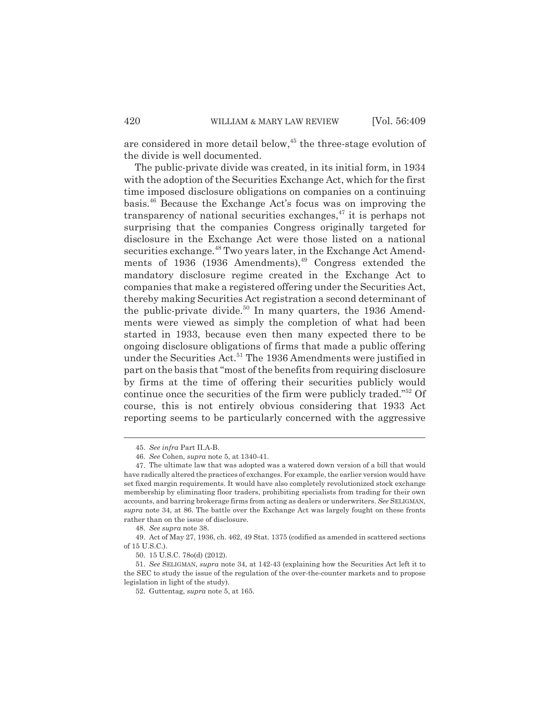are considered in more detail below,<sup>45</sup> the three-stage evolution of the divide is well documented.

The public-private divide was created, in its initial form, in 1934 with the adoption of the Securities Exchange Act, which for the first time imposed disclosure obligations on companies on a continuing basis.<sup>46</sup> Because the Exchange Act's focus was on improving the transparency of national securities exchanges, $^{47}$  it is perhaps not surprising that the companies Congress originally targeted for disclosure in the Exchange Act were those listed on a national securities exchange.<sup>48</sup> Two years later, in the Exchange Act Amendments of 1936 (1936 Amendments), $49$  Congress extended the mandatory disclosure regime created in the Exchange Act to companies that make a registered offering under the Securities Act, thereby making Securities Act registration a second determinant of the public-private divide.<sup>50</sup> In many quarters, the 1936 Amendments were viewed as simply the completion of what had been started in 1933, because even then many expected there to be ongoing disclosure obligations of firms that made a public offering under the Securities Act.<sup>51</sup> The 1936 Amendments were justified in part on the basis that "most of the benefits from requiring disclosure by firms at the time of offering their securities publicly would continue once the securities of the firm were publicly traded."<sup>52</sup> Of course, this is not entirely obvious considering that 1933 Act reporting seems to be particularly concerned with the aggressive

<sup>45.</sup> *See infra* Part II.A-B.

<sup>46.</sup> *See* Cohen, *supra* note 5, at 1340-41.

<sup>47.</sup> The ultimate law that was adopted was a watered down version of a bill that would have radically altered the practices of exchanges. For example, the earlier version would have set fixed margin requirements. It would have also completely revolutionized stock exchange membership by eliminating floor traders, prohibiting specialists from trading for their own accounts, and barring brokerage firms from acting as dealers or underwriters. *See* SELIGMAN, *supra* note 34, at 86. The battle over the Exchange Act was largely fought on these fronts rather than on the issue of disclosure.

<sup>48.</sup> *See supra* note 38.

<sup>49.</sup> Act of May 27, 1936, ch. 462, 49 Stat. 1375 (codified as amended in scattered sections of 15 U.S.C.).

<sup>50.</sup> 15 U.S.C. 78o(d) (2012).

<sup>51.</sup> *See* SELIGMAN, *supra* note 34, at 142-43 (explaining how the Securities Act left it to the SEC to study the issue of the regulation of the over-the-counter markets and to propose legislation in light of the study).

<sup>52.</sup> Guttentag, *supra* note 5, at 165.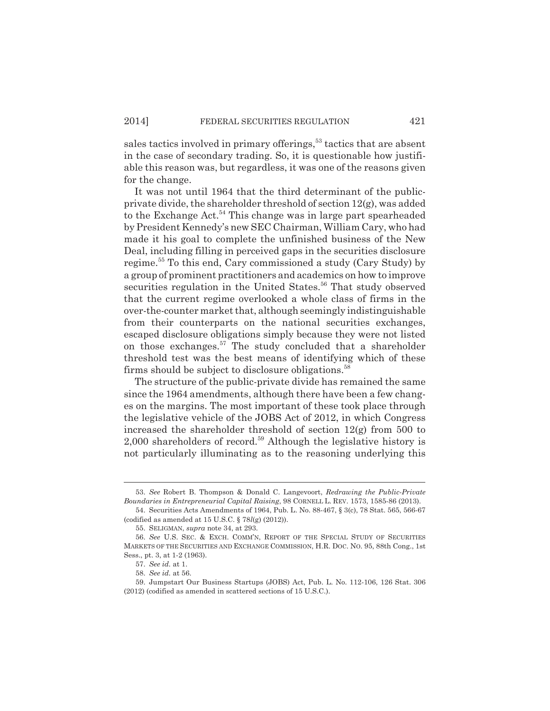sales tactics involved in primary offerings, $53$  tactics that are absent in the case of secondary trading. So, it is questionable how justifiable this reason was, but regardless, it was one of the reasons given for the change.

It was not until 1964 that the third determinant of the publicprivate divide, the shareholder threshold of section 12(g), was added to the Exchange Act.<sup>54</sup> This change was in large part spearheaded by President Kennedy's new SEC Chairman, William Cary, who had made it his goal to complete the unfinished business of the New Deal, including filling in perceived gaps in the securities disclosure regime.<sup>55</sup> To this end, Cary commissioned a study (Cary Study) by a group of prominent practitioners and academics on how to improve securities regulation in the United States.<sup>56</sup> That study observed that the current regime overlooked a whole class of firms in the over-the-counter market that, although seemingly indistinguishable from their counterparts on the national securities exchanges, escaped disclosure obligations simply because they were not listed on those exchanges.<sup>57</sup> The study concluded that a shareholder threshold test was the best means of identifying which of these firms should be subject to disclosure obligations.<sup>58</sup>

The structure of the public-private divide has remained the same since the 1964 amendments, although there have been a few changes on the margins. The most important of these took place through the legislative vehicle of the JOBS Act of 2012, in which Congress increased the shareholder threshold of section 12(g) from 500 to 2,000 shareholders of record.<sup>59</sup> Although the legislative history is not particularly illuminating as to the reasoning underlying this

<sup>53.</sup> *See* Robert B. Thompson & Donald C. Langevoort, *Redrawing the Public-Private Boundaries in Entrepreneurial Capital Raising*, 98 CORNELL L. REV. 1573, 1585-86 (2013).

<sup>54.</sup> Securities Acts Amendments of 1964, Pub. L. No. 88-467, § 3(c), 78 Stat. 565, 566-67 (codified as amended at 15 U.S.C. § 78*l*(g) (2012)).

<sup>55.</sup> SELIGMAN, *supra* note 34, at 293.

<sup>56.</sup> *See* U.S. SEC. & EXCH. COMM'N, REPORT OF THE SPECIAL STUDY OF SECURITIES MARKETS OF THE SECURITIES AND EXCHANGE COMMISSION, H.R. DOC. NO. 95, 88th Cong., 1st Sess., pt. 3, at 1-2 (1963).

<sup>57.</sup> *See id.* at 1.

<sup>58.</sup> *See id.* at 56.

<sup>59.</sup> Jumpstart Our Business Startups (JOBS) Act, Pub. L. No. 112-106, 126 Stat. 306 (2012) (codified as amended in scattered sections of 15 U.S.C.).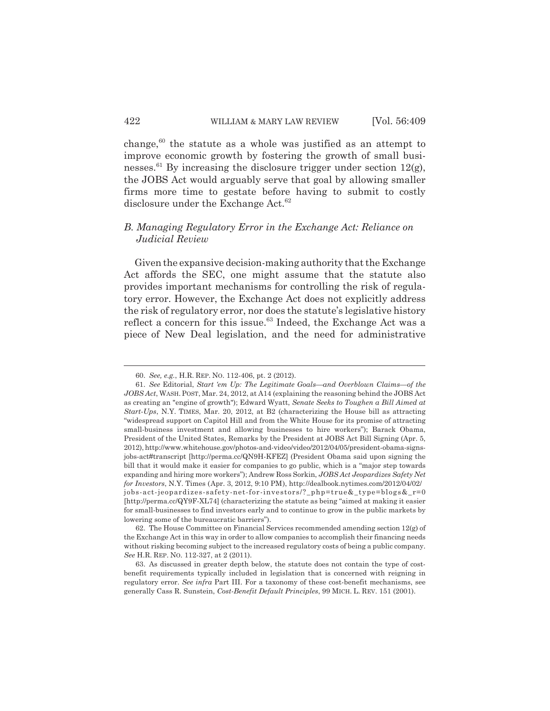change, $60$  the statute as a whole was justified as an attempt to improve economic growth by fostering the growth of small businesses.<sup>61</sup> By increasing the disclosure trigger under section  $12(g)$ , the JOBS Act would arguably serve that goal by allowing smaller firms more time to gestate before having to submit to costly disclosure under the Exchange Act.<sup>62</sup>

## *B. Managing Regulatory Error in the Exchange Act: Reliance on Judicial Review*

Given the expansive decision-making authority that the Exchange Act affords the SEC, one might assume that the statute also provides important mechanisms for controlling the risk of regulatory error. However, the Exchange Act does not explicitly address the risk of regulatory error, nor does the statute's legislative history reflect a concern for this issue.<sup>63</sup> Indeed, the Exchange Act was a piece of New Deal legislation, and the need for administrative

<sup>60.</sup> *See, e.g.*, H.R. REP. NO. 112-406, pt. 2 (2012).

<sup>61.</sup> *See* Editorial, *Start 'em Up: The Legitimate Goals—and Overblown Claims—of the JOBS Act*, WASH.POST, Mar. 24, 2012, at A14 (explaining the reasoning behind the JOBS Act as creating an "engine of growth"); Edward Wyatt, *Senate Seeks to Toughen a Bill Aimed at Start-Ups*, N.Y. TIMES, Mar. 20, 2012, at B2 (characterizing the House bill as attracting "widespread support on Capitol Hill and from the White House for its promise of attracting small-business investment and allowing businesses to hire workers"); Barack Obama, President of the United States, Remarks by the President at JOBS Act Bill Signing (Apr. 5, 2012), http://www.whitehouse.gov/photos-and-video/video/2012/04/05/president-obama-signsjobs-act#transcript [http://perma.cc/QN9H-KFEZ] (President Obama said upon signing the bill that it would make it easier for companies to go public, which is a "major step towards expanding and hiring more workers"); Andrew Ross Sorkin, *JOBS Act Jeopardizes Safety Net for Investors*, N.Y. Times (Apr. 3, 2012, 9:10 PM), http://dealbook.nytimes.com/2012/04/02/ jobs-act-jeopardizes-safety-net-for-investors/?\_php=true&\_type=blogs&\_r=0 [http://perma.cc/QY9F-XL74] (characterizing the statute as being "aimed at making it easier for small-businesses to find investors early and to continue to grow in the public markets by lowering some of the bureaucratic barriers").

<sup>62.</sup> The House Committee on Financial Services recommended amending section 12(g) of the Exchange Act in this way in order to allow companies to accomplish their financing needs without risking becoming subject to the increased regulatory costs of being a public company. *See* H.R. REP. NO. 112-327, at 2 (2011).

<sup>63.</sup> As discussed in greater depth below, the statute does not contain the type of costbenefit requirements typically included in legislation that is concerned with reigning in regulatory error. *See infra* Part III. For a taxonomy of these cost-benefit mechanisms, see generally Cass R. Sunstein, *Cost-Benefit Default Principles*, 99 MICH. L. REV. 151 (2001).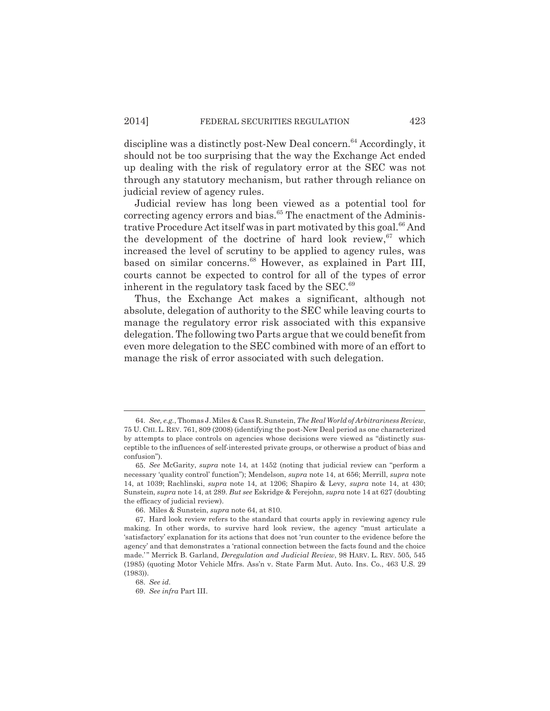discipline was a distinctly post-New Deal concern.<sup>64</sup> Accordingly, it should not be too surprising that the way the Exchange Act ended up dealing with the risk of regulatory error at the SEC was not through any statutory mechanism, but rather through reliance on judicial review of agency rules.

Judicial review has long been viewed as a potential tool for correcting agency errors and bias. $65$  The enactment of the Administrative Procedure Act itself was in part motivated by this goal.<sup>66</sup> And the development of the doctrine of hard look review, <sup>67</sup> which increased the level of scrutiny to be applied to agency rules, was based on similar concerns.<sup>68</sup> However, as explained in Part III, courts cannot be expected to control for all of the types of error inherent in the regulatory task faced by the  $SEC.<sup>69</sup>$ 

Thus, the Exchange Act makes a significant, although not absolute, delegation of authority to the SEC while leaving courts to manage the regulatory error risk associated with this expansive delegation. The following two Parts argue that we could benefit from even more delegation to the SEC combined with more of an effort to manage the risk of error associated with such delegation.

<sup>64.</sup> *See, e.g.*, Thomas J. Miles & Cass R. Sunstein, *The Real World of Arbitrariness Review*, 75 U. CHI. L. REV. 761, 809 (2008) (identifying the post-New Deal period as one characterized by attempts to place controls on agencies whose decisions were viewed as "distinctly susceptible to the influences of self-interested private groups, or otherwise a product of bias and confusion").

<sup>65.</sup> *See* McGarity, *supra* note 14, at 1452 (noting that judicial review can "perform a necessary 'quality control' function"); Mendelson, *supra* note 14, at 656; Merrill, *supra* note 14, at 1039; Rachlinski, *supra* note 14, at 1206; Shapiro & Levy, *supra* note 14, at 430; Sunstein, *supra* note 14, at 289. *But see* Eskridge & Ferejohn, *supra* note 14 at 627 (doubting the efficacy of judicial review).

<sup>66.</sup> Miles & Sunstein, *supra* note 64, at 810.

<sup>67.</sup> Hard look review refers to the standard that courts apply in reviewing agency rule making. In other words, to survive hard look review, the agency "must articulate a 'satisfactory' explanation for its actions that does not 'run counter to the evidence before the agency' and that demonstrates a 'rational connection between the facts found and the choice made.' " Merrick B. Garland, *Deregulation and Judicial Review*, 98 HARV. L. REV. 505, 545 (1985) (quoting Motor Vehicle Mfrs. Ass'n v. State Farm Mut. Auto. Ins. Co., 463 U.S. 29 (1983)).

<sup>68.</sup> *See id.*

<sup>69.</sup> *See infra* Part III.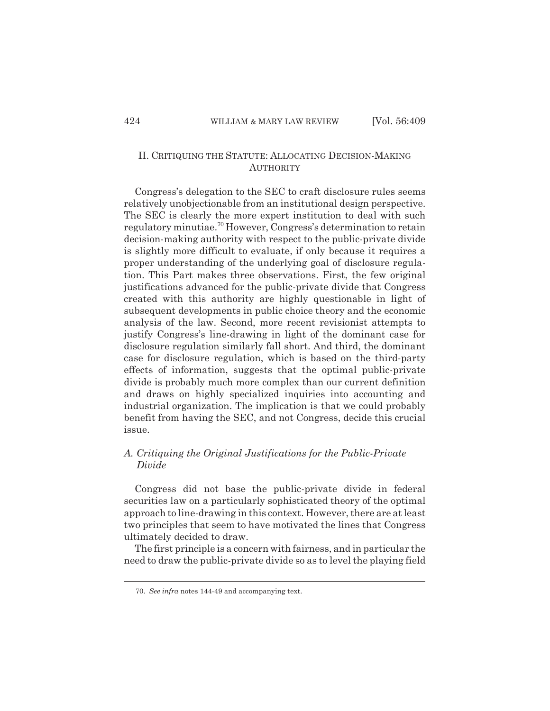## II. CRITIQUING THE STATUTE: ALLOCATING DECISION-MAKING **AUTHORITY**

Congress's delegation to the SEC to craft disclosure rules seems relatively unobjectionable from an institutional design perspective. The SEC is clearly the more expert institution to deal with such regulatory minutiae.<sup>70</sup> However, Congress's determination to retain decision-making authority with respect to the public-private divide is slightly more difficult to evaluate, if only because it requires a proper understanding of the underlying goal of disclosure regulation. This Part makes three observations. First, the few original justifications advanced for the public-private divide that Congress created with this authority are highly questionable in light of subsequent developments in public choice theory and the economic analysis of the law. Second, more recent revisionist attempts to justify Congress's line-drawing in light of the dominant case for disclosure regulation similarly fall short. And third, the dominant case for disclosure regulation, which is based on the third-party effects of information, suggests that the optimal public-private divide is probably much more complex than our current definition and draws on highly specialized inquiries into accounting and industrial organization. The implication is that we could probably benefit from having the SEC, and not Congress, decide this crucial issue.

## *A. Critiquing the Original Justifications for the Public-Private Divide*

Congress did not base the public-private divide in federal securities law on a particularly sophisticated theory of the optimal approach to line-drawing in this context. However, there are at least two principles that seem to have motivated the lines that Congress ultimately decided to draw.

The first principle is a concern with fairness, and in particular the need to draw the public-private divide so as to level the playing field

<sup>70.</sup> *See infra* notes 144-49 and accompanying text.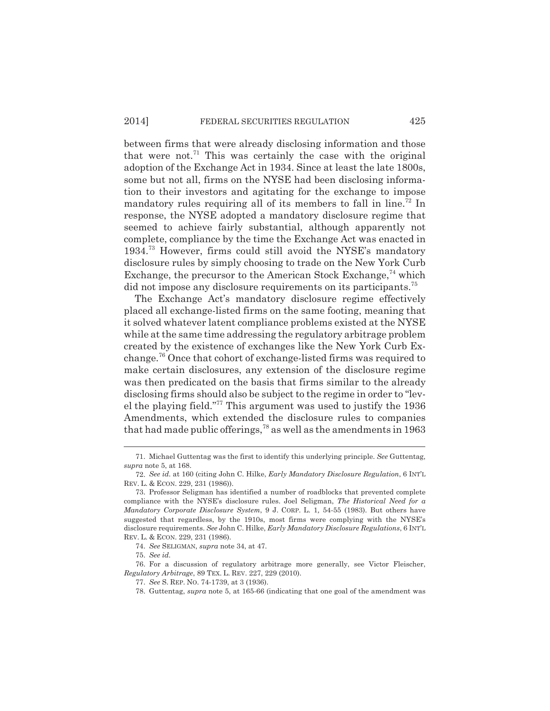between firms that were already disclosing information and those that were not.<sup>71</sup> This was certainly the case with the original adoption of the Exchange Act in 1934. Since at least the late 1800s, some but not all, firms on the NYSE had been disclosing information to their investors and agitating for the exchange to impose mandatory rules requiring all of its members to fall in line.<sup>72</sup> In response, the NYSE adopted a mandatory disclosure regime that seemed to achieve fairly substantial, although apparently not complete, compliance by the time the Exchange Act was enacted in 1934.<sup>73</sup> However, firms could still avoid the NYSE's mandatory disclosure rules by simply choosing to trade on the New York Curb Exchange, the precursor to the American Stock Exchange,  $74$  which did not impose any disclosure requirements on its participants.<sup>75</sup>

The Exchange Act's mandatory disclosure regime effectively placed all exchange-listed firms on the same footing, meaning that it solved whatever latent compliance problems existed at the NYSE while at the same time addressing the regulatory arbitrage problem created by the existence of exchanges like the New York Curb Exchange.<sup>76</sup> Once that cohort of exchange-listed firms was required to make certain disclosures, any extension of the disclosure regime was then predicated on the basis that firms similar to the already disclosing firms should also be subject to the regime in order to "level the playing field."<sup>77</sup> This argument was used to justify the 1936 Amendments, which extended the disclosure rules to companies that had made public offerings,  $78$  as well as the amendments in 1963

<sup>71.</sup> Michael Guttentag was the first to identify this underlying principle. *See* Guttentag, *supra* note 5, at 168.

<sup>72.</sup> *See id.* at 160 (citing John C. Hilke, *Early Mandatory Disclosure Regulation*, 6 INT'L REV. L. & ECON. 229, 231 (1986)).

<sup>73.</sup> Professor Seligman has identified a number of roadblocks that prevented complete compliance with the NYSE's disclosure rules. Joel Seligman, *The Historical Need for a Mandatory Corporate Disclosure System*, 9 J. CORP. L. 1*,* 54-55 (1983). But others have suggested that regardless, by the 1910s, most firms were complying with the NYSE's disclosure requirements. *See* John C. Hilke, *Early Mandatory Disclosure Regulations*, 6 INT'L REV. L. & ECON. 229, 231 (1986).

<sup>74.</sup> *See* SELIGMAN, *supra* note 34, at 47.

<sup>75.</sup> *See id.*

<sup>76.</sup> For a discussion of regulatory arbitrage more generally, see Victor Fleischer, *Regulatory Arbitrage*, 89 TEX. L. REV. 227, 229 (2010).

<sup>77.</sup> *See* S. REP. NO. 74-1739, at 3 (1936).

<sup>78.</sup> Guttentag, *supra* note 5, at 165-66 (indicating that one goal of the amendment was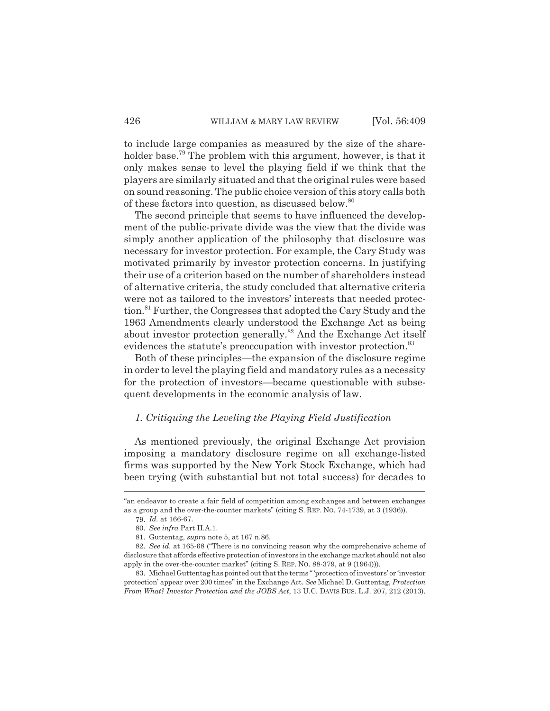to include large companies as measured by the size of the shareholder base.<sup>79</sup> The problem with this argument, however, is that it only makes sense to level the playing field if we think that the players are similarly situated and that the original rules were based on sound reasoning. The public choice version of this story calls both of these factors into question, as discussed below.<sup>80</sup>

The second principle that seems to have influenced the development of the public-private divide was the view that the divide was simply another application of the philosophy that disclosure was necessary for investor protection. For example, the Cary Study was motivated primarily by investor protection concerns. In justifying their use of a criterion based on the number of shareholders instead of alternative criteria, the study concluded that alternative criteria were not as tailored to the investors' interests that needed protection.<sup>81</sup> Further, the Congresses that adopted the Cary Study and the 1963 Amendments clearly understood the Exchange Act as being about investor protection generally.<sup>82</sup> And the Exchange Act itself evidences the statute's preoccupation with investor protection.<sup>83</sup>

Both of these principles—the expansion of the disclosure regime in order to level the playing field and mandatory rules as a necessity for the protection of investors—became questionable with subsequent developments in the economic analysis of law.

## *1. Critiquing the Leveling the Playing Field Justification*

As mentioned previously, the original Exchange Act provision imposing a mandatory disclosure regime on all exchange-listed firms was supported by the New York Stock Exchange, which had been trying (with substantial but not total success) for decades to

<sup>&</sup>quot;an endeavor to create a fair field of competition among exchanges and between exchanges as a group and the over-the-counter markets" (citing S. REP. NO. 74-1739, at 3 (1936)).

<sup>79.</sup> *Id.* at 166-67.

<sup>80.</sup> *See infra* Part II.A.1.

<sup>81.</sup> Guttentag, *supra* note 5, at 167 n.86.

<sup>82.</sup> *See id.* at 165-68 ("There is no convincing reason why the comprehensive scheme of disclosure that affords effective protection of investors in the exchange market should not also apply in the over-the-counter market" (citing S. REP. NO. 88-379, at 9 (1964))).

<sup>83.</sup> Michael Guttentag has pointed out that the terms " 'protection of investors' or 'investor protection' appear over 200 times" in the Exchange Act. *See* Michael D. Guttentag, *Protection From What? Investor Protection and the JOBS Act*, 13 U.C. DAVIS BUS. L.J. 207, 212 (2013).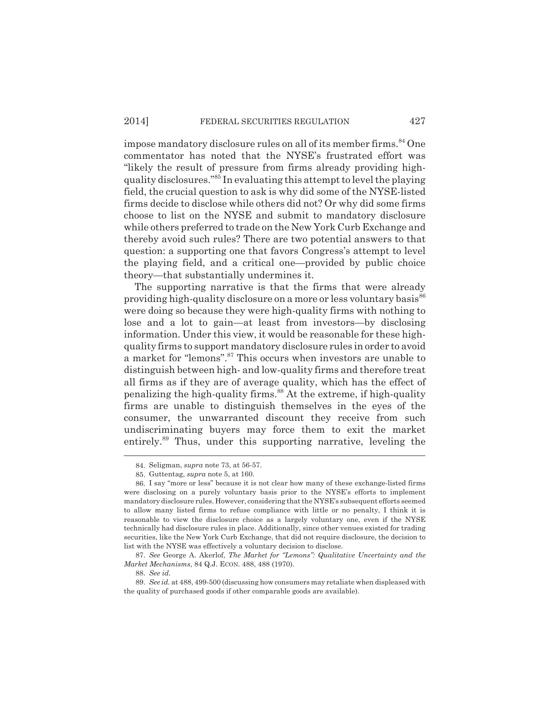impose mandatory disclosure rules on all of its member firms.<sup>84</sup> One commentator has noted that the NYSE's frustrated effort was "likely the result of pressure from firms already providing highquality disclosures."<sup>85</sup> In evaluating this attempt to level the playing field, the crucial question to ask is why did some of the NYSE-listed firms decide to disclose while others did not? Or why did some firms choose to list on the NYSE and submit to mandatory disclosure while others preferred to trade on the New York Curb Exchange and thereby avoid such rules? There are two potential answers to that question: a supporting one that favors Congress's attempt to level the playing field, and a critical one—provided by public choice theory—that substantially undermines it.

The supporting narrative is that the firms that were already providing high-quality disclosure on a more or less voluntary basis<sup>86</sup> were doing so because they were high-quality firms with nothing to lose and a lot to gain—at least from investors—by disclosing information. Under this view, it would be reasonable for these highquality firms to support mandatory disclosure rules in order to avoid a market for "lemons".<sup>87</sup> This occurs when investors are unable to distinguish between high- and low-quality firms and therefore treat all firms as if they are of average quality, which has the effect of penalizing the high-quality firms.<sup>88</sup> At the extreme, if high-quality firms are unable to distinguish themselves in the eyes of the consumer, the unwarranted discount they receive from such undiscriminating buyers may force them to exit the market entirely.<sup>89</sup> Thus, under this supporting narrative, leveling the

87. *See* George A. Akerlof, *The Market for "Lemons": Qualitative Uncertainty and the Market Mechanisms*, 84 Q.J. ECON. 488, 488 (1970).

88. *See id.*

<sup>84.</sup> Seligman, *supra* note 73, at 56-57.

<sup>85.</sup> Guttentag, *supra* note 5, at 160.

<sup>86.</sup> I say "more or less" because it is not clear how many of these exchange-listed firms were disclosing on a purely voluntary basis prior to the NYSE's efforts to implement mandatory disclosure rules. However, considering that the NYSE's subsequent efforts seemed to allow many listed firms to refuse compliance with little or no penalty, I think it is reasonable to view the disclosure choice as a largely voluntary one, even if the NYSE technically had disclosure rules in place. Additionally, since other venues existed for trading securities, like the New York Curb Exchange, that did not require disclosure, the decision to list with the NYSE was effectively a voluntary decision to disclose.

<sup>89.</sup> *See id.* at 488, 499-500 (discussing how consumers may retaliate when displeased with the quality of purchased goods if other comparable goods are available).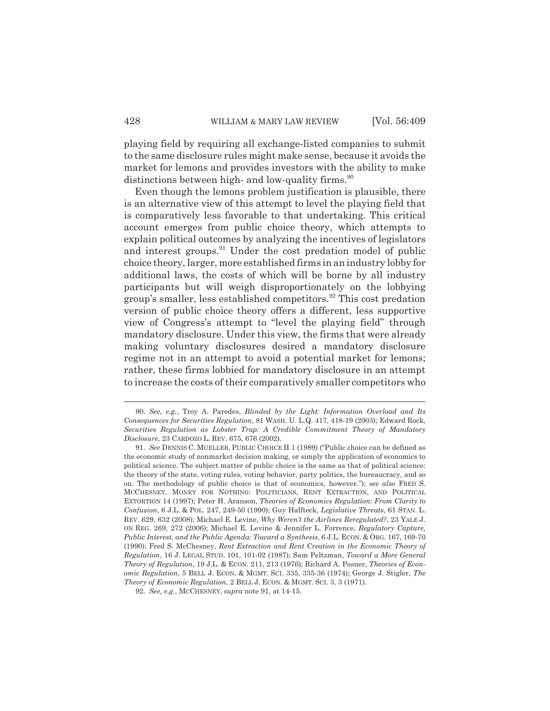playing field by requiring all exchange-listed companies to submit to the same disclosure rules might make sense, because it avoids the market for lemons and provides investors with the ability to make distinctions between high- and low-quality firms. $90$ 

Even though the lemons problem justification is plausible, there is an alternative view of this attempt to level the playing field that is comparatively less favorable to that undertaking. This critical account emerges from public choice theory, which attempts to explain political outcomes by analyzing the incentives of legislators and interest groups.<sup>91</sup> Under the cost predation model of public choice theory, larger, more established firms in an industry lobby for additional laws, the costs of which will be borne by all industry participants but will weigh disproportionately on the lobbying group's smaller, less established competitors.<sup>92</sup> This cost predation version of public choice theory offers a different, less supportive view of Congress's attempt to "level the playing field" through mandatory disclosure. Under this view, the firms that were already making voluntary disclosures desired a mandatory disclosure regime not in an attempt to avoid a potential market for lemons; rather, these firms lobbied for mandatory disclosure in an attempt to increase the costs of their comparatively smaller competitors who

<sup>90.</sup> *See, e.g.*, Troy A. Paredes, *Blinded by the Light: Information Overload and Its Consequences for Securities Regulation*, 81 WASH. U. L.Q. 417, 418-19 (2003); Edward Rock, *Securities Regulation as Lobster Trap: A Credible Commitment Theory of Mandatory Disclosure*, 23 CARDOZO L. REV. 675, 676 (2002).

<sup>91.</sup> *See* DENNIS C. MUELLER, PUBLIC CHOICE II 1 (1989) ("Public choice can be defined as the economic study of nonmarket decision making, or simply the application of economics to political science. The subject matter of public choice is the same as that of political science: the theory of the state, voting rules, voting behavior, party politics, the bureaucracy, and so on. The methodology of public choice is that of economics, however."); *see also* FRED S. MCCHESNEY, MONEY FOR NOTHING: POLITICIANS, RENT EXTRACTION, AND POLITICAL EXTORTION 14 (1997); Peter H. Aranson, *Theories of Economics Regulation: From Clarity to Confusion*, 6 J.L. & POL. 247, 249-50 (1990); Guy Halfteck, *Legislative Threats*, 61 STAN. L. REV. 629, 632 (2008); Michael E. Levine, *Why Weren't the Airlines Reregulated?*, 23 YALE J. ON REG. 269, 272 (2006); Michael E. Levine & Jennifer L. Forrence, *Regulatory Capture, Public Interest, and the Public Agenda: Toward a Synthesis*, 6 J.L. ECON. & ORG. 167, 169-70 (1990); Fred S. McChesney, *Rent Extraction and Rent Creation in the Economic Theory of Regulation*, 16 J. LEGAL STUD. 101, 101-02 (1987); Sam Peltzman, *Toward a More General Theory of Regulation*, 19 J.L. & ECON. 211, 213 (1976); Richard A. Posner, *Theories of Economic Regulation*, 5 BELL J. ECON. & MGMT. SCI. 335, 335-36 (1974); George J. Stigler, *The Theory of Economic Regulation*, 2 BELL J. ECON. & MGMT. SCI. 3, 3 (1971).

<sup>92.</sup> *See, e.g.*, MCCHESNEY, *supra* note 91, at 14-15.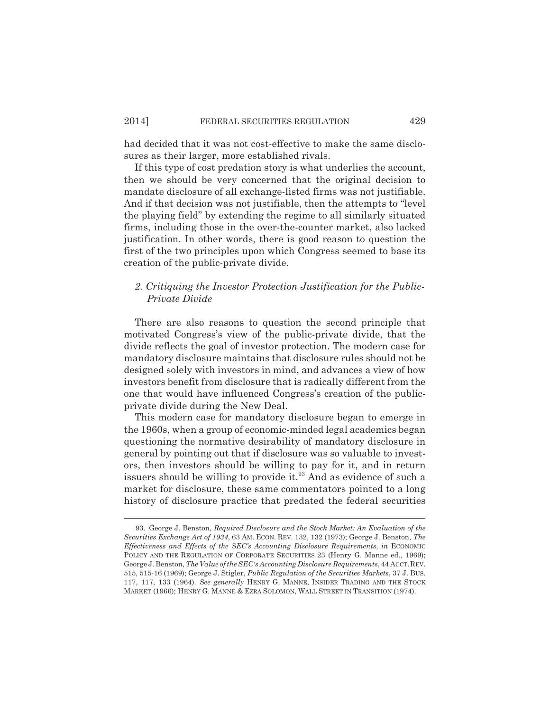had decided that it was not cost-effective to make the same disclosures as their larger, more established rivals.

If this type of cost predation story is what underlies the account, then we should be very concerned that the original decision to mandate disclosure of all exchange-listed firms was not justifiable. And if that decision was not justifiable, then the attempts to "level the playing field" by extending the regime to all similarly situated firms, including those in the over-the-counter market, also lacked justification. In other words, there is good reason to question the first of the two principles upon which Congress seemed to base its creation of the public-private divide.

## *2. Critiquing the Investor Protection Justification for the Public-Private Divide*

There are also reasons to question the second principle that motivated Congress's view of the public-private divide, that the divide reflects the goal of investor protection. The modern case for mandatory disclosure maintains that disclosure rules should not be designed solely with investors in mind, and advances a view of how investors benefit from disclosure that is radically different from the one that would have influenced Congress's creation of the publicprivate divide during the New Deal.

This modern case for mandatory disclosure began to emerge in the 1960s, when a group of economic-minded legal academics began questioning the normative desirability of mandatory disclosure in general by pointing out that if disclosure was so valuable to investors, then investors should be willing to pay for it, and in return issuers should be willing to provide it.<sup>93</sup> And as evidence of such a market for disclosure, these same commentators pointed to a long history of disclosure practice that predated the federal securities

<sup>93.</sup> George J. Benston, *Required Disclosure and the Stock Market: An Evaluation of the Securities Exchange Act of 1934*, 63 AM. ECON. REV. 132, 132 (1973); George J. Benston, *The Effectiveness and Effects of the SEC's Accounting Disclosure Requirements*, *in* ECONOMIC POLICY AND THE REGULATION OF CORPORATE SECURITIES 23 (Henry G. Manne ed., 1969); George J. Benston, *The Value of the SEC's Accounting Disclosure Requirements*, 44 ACCT.REV. 515, 515-16 (1969); George J. Stigler, *Public Regulation of the Securities Markets*, 37 J. BUS. 117, 117, 133 (1964). *See generally* HENRY G. MANNE, INSIDER TRADING AND THE STOCK MARKET (1966); HENRY G. MANNE & EZRA SOLOMON, WALL STREET IN TRANSITION (1974).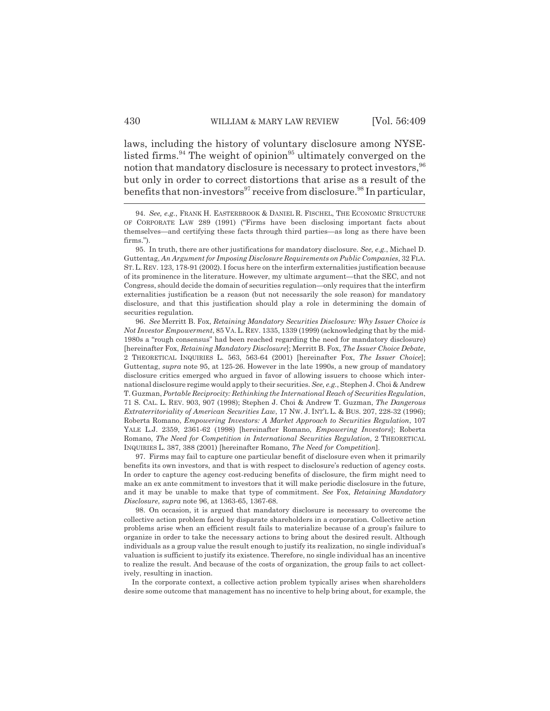laws, including the history of voluntary disclosure among NYSElisted firms.<sup>94</sup> The weight of opinion<sup>95</sup> ultimately converged on the notion that mandatory disclosure is necessary to protect investors,  $96$ but only in order to correct distortions that arise as a result of the benefits that non-investors<sup>97</sup> receive from disclosure.<sup>98</sup> In particular,

97. Firms may fail to capture one particular benefit of disclosure even when it primarily benefits its own investors, and that is with respect to disclosure's reduction of agency costs. In order to capture the agency cost-reducing benefits of disclosure, the firm might need to make an ex ante commitment to investors that it will make periodic disclosure in the future, and it may be unable to make that type of commitment. *See* Fox, *Retaining Mandatory Disclosure*, *supra* note 96, at 1363-65, 1367-68.

98. On occasion, it is argued that mandatory disclosure is necessary to overcome the collective action problem faced by disparate shareholders in a corporation. Collective action problems arise when an efficient result fails to materialize because of a group's failure to organize in order to take the necessary actions to bring about the desired result. Although individuals as a group value the result enough to justify its realization, no single individual's valuation is sufficient to justify its existence. Therefore, no single individual has an incentive to realize the result. And because of the costs of organization, the group fails to act collectively, resulting in inaction.

In the corporate context, a collective action problem typically arises when shareholders desire some outcome that management has no incentive to help bring about, for example, the

<sup>94.</sup> *See, e.g.*, FRANK H. EASTERBROOK & DANIEL R. FISCHEL, THE ECONOMIC STRUCTURE OF CORPORATE LAW 289 (1991) ("Firms have been disclosing important facts about themselves—and certifying these facts through third parties—as long as there have been firms.").

<sup>95.</sup> In truth, there are other justifications for mandatory disclosure. *See, e.g.*, Michael D. Guttentag, *An Argument for Imposing Disclosure Requirements on Public Companies*, 32 FLA. ST.L. REV. 123, 178-91 (2002). I focus here on the interfirm externalities justification because of its prominence in the literature. However, my ultimate argument—that the SEC, and not Congress, should decide the domain of securities regulation—only requires that the interfirm externalities justification be a reason (but not necessarily the sole reason) for mandatory disclosure, and that this justification should play a role in determining the domain of securities regulation.

<sup>96.</sup> *See* Merritt B. Fox, *Retaining Mandatory Securities Disclosure: Why Issuer Choice is Not Investor Empowerment*, 85 VA.L.REV. 1335, 1339 (1999) (acknowledging that by the mid-1980s a "rough consensus" had been reached regarding the need for mandatory disclosure) [hereinafter Fox, *Retaining Mandatory Disclosure*]; Merritt B. Fox, *The Issuer Choice Debate*, 2 THEORETICAL INQUIRIES L. 563, 563-64 (2001) [hereinafter Fox, *The Issuer Choice*]; Guttentag, *supra* note 95, at 125-26. However in the late 1990s, a new group of mandatory disclosure critics emerged who argued in favor of allowing issuers to choose which international disclosure regime would apply to their securities. *See, e.g.*, Stephen J. Choi & Andrew T. Guzman, *Portable Reciprocity: Rethinking the International Reach of Securities Regulation*, 71 S. CAL. L. REV. 903, 907 (1998); Stephen J. Choi & Andrew T. Guzman, *The Dangerous Extraterritoriality of American Securities Law*, 17 NW. J. INT'L L. & BUS. 207, 228-32 (1996); Roberta Romano, *Empowering Investors: A Market Approach to Securities Regulation*, 107 YALE L.J. 2359, 2361-62 (1998) [hereinafter Romano, *Empowering Investors*]; Roberta Romano, *The Need for Competition in International Securities Regulation*, 2 THEORETICAL INQUIRIES L. 387, 388 (2001) [hereinafter Romano, *The Need for Competition*].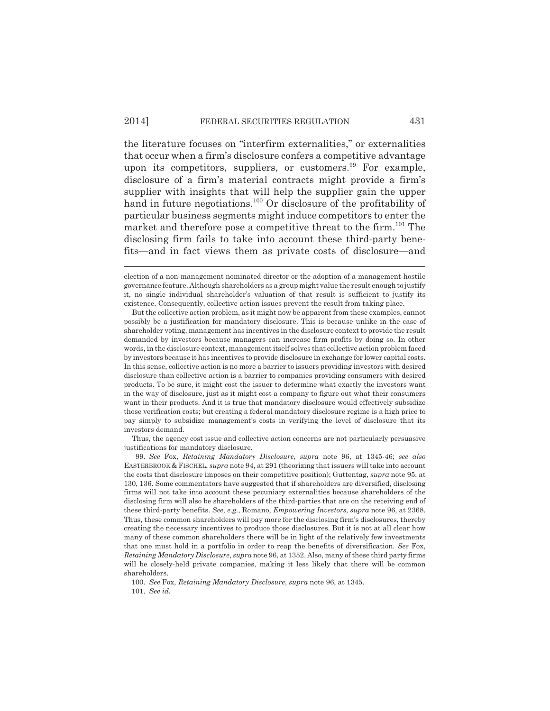the literature focuses on "interfirm externalities," or externalities that occur when a firm's disclosure confers a competitive advantage upon its competitors, suppliers, or customers. $99$  For example, disclosure of a firm's material contracts might provide a firm's supplier with insights that will help the supplier gain the upper hand in future negotiations.<sup>100</sup> Or disclosure of the profitability of particular business segments might induce competitors to enter the market and therefore pose a competitive threat to the firm.<sup>101</sup> The disclosing firm fails to take into account these third-party benefits—and in fact views them as private costs of disclosure—and

But the collective action problem, as it might now be apparent from these examples, cannot possibly be a justification for mandatory disclosure. This is because unlike in the case of shareholder voting, management has incentives in the disclosure context to provide the result demanded by investors because managers can increase firm profits by doing so. In other words, in the disclosure context, management itself solves that collective action problem faced by investors because it has incentives to provide disclosure in exchange for lower capital costs. In this sense, collective action is no more a barrier to issuers providing investors with desired disclosure than collective action is a barrier to companies providing consumers with desired products. To be sure, it might cost the issuer to determine what exactly the investors want in the way of disclosure, just as it might cost a company to figure out what their consumers want in their products. And it is true that mandatory disclosure would effectively subsidize those verification costs; but creating a federal mandatory disclosure regime is a high price to pay simply to subsidize management's costs in verifying the level of disclosure that its investors demand.

Thus, the agency cost issue and collective action concerns are not particularly persuasive justifications for mandatory disclosure.

99. *See* Fox, *Retaining Mandatory Disclosure*, *supra* note 96, at 1345-46; *see also* EASTERBROOK & FISCHEL, *supra* note 94, at 291 (theorizing that issuers will take into account the costs that disclosure imposes on their competitive position); Guttentag, *supra* note 95, at 130, 136. Some commentators have suggested that if shareholders are diversified, disclosing firms will not take into account these pecuniary externalities because shareholders of the disclosing firm will also be shareholders of the third-parties that are on the receiving end of these third-party benefits. *See, e.g.*, Romano, *Empowering Investors*, *supra* note 96, at 2368. Thus, these common shareholders will pay more for the disclosing firm's disclosures, thereby creating the necessary incentives to produce those disclosures. But it is not at all clear how many of these common shareholders there will be in light of the relatively few investments that one must hold in a portfolio in order to reap the benefits of diversification. *See* Fox, *Retaining Mandatory Disclosure*, *supra* note 96, at 1352. Also, many of these third party firms will be closely-held private companies, making it less likely that there will be common shareholders.

100. *See* Fox, *Retaining Mandatory Disclosure*, *supra* note 96, at 1345. 101. *See id.*

election of a non-management nominated director or the adoption of a management-hostile governance feature. Although shareholders as a group might value the result enough to justify it, no single individual shareholder's valuation of that result is sufficient to justify its existence. Consequently, collective action issues prevent the result from taking place.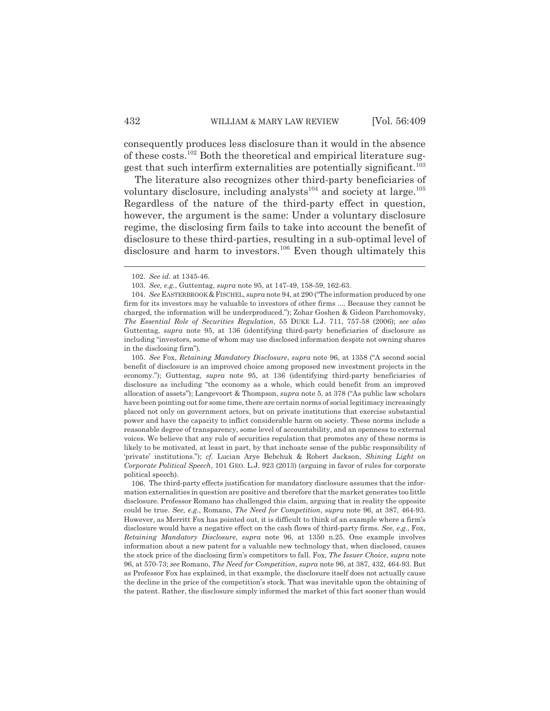consequently produces less disclosure than it would in the absence of these costs.<sup>102</sup> Both the theoretical and empirical literature suggest that such interfirm externalities are potentially significant.<sup>103</sup>

The literature also recognizes other third-party beneficiaries of voluntary disclosure, including analysts $^{104}$  and society at large.<sup>105</sup> Regardless of the nature of the third-party effect in question, however, the argument is the same: Under a voluntary disclosure regime, the disclosing firm fails to take into account the benefit of disclosure to these third-parties, resulting in a sub-optimal level of disclosure and harm to investors.<sup>106</sup> Even though ultimately this

105. *See* Fox, *Retaining Mandatory Disclosure*, *supra* note 96, at 1358 ("A second social benefit of disclosure is an improved choice among proposed new investment projects in the economy."); Guttentag, *supra* note 95, at 136 (identifying third-party beneficiaries of disclosure as including "the economy as a whole, which could benefit from an improved allocation of assets"); Langevoort & Thompson, *supra* note 5, at 378 ("As public law scholars have been pointing out for some time, there are certain norms of social legitimacy increasingly placed not only on government actors, but on private institutions that exercise substantial power and have the capacity to inflict considerable harm on society. These norms include a reasonable degree of transparency, some level of accountability, and an openness to external voices. We believe that any rule of securities regulation that promotes any of these norms is likely to be motivated, at least in part, by that inchoate sense of the public responsibility of 'private' institutions."); *cf.* Lucian Arye Bebchuk & Robert Jackson, *Shining Light on Corporate Political Speech*, 101 GEO. L.J. 923 (2013) (arguing in favor of rules for corporate political speech).

106. The third-party effects justification for mandatory disclosure assumes that the information externalities in question are positive and therefore that the market generates too little disclosure. Professor Romano has challenged this claim, arguing that in reality the opposite could be true. *See, e.g.*, Romano, *The Need for Competition*, *supra* note 96, at 387, 464-93. However, as Merritt Fox has pointed out, it is difficult to think of an example where a firm's disclosure would have a negative effect on the cash flows of third-party firms. *See, e.g.*, Fox, *Retaining Mandatory Disclosure*, *supra* note 96, at 1350 n.25. One example involves information about a new patent for a valuable new technology that, when disclosed, causes the stock price of the disclosing firm's competitors to fall. Fox, *The Issuer Choice*, *supra* note 96, at 570-73; *see* Romano, *The Need for Competition*, *supra* note 96, at 387, 432, 464-93. But as Professor Fox has explained, in that example, the disclosure itself does not actually cause the decline in the price of the competition's stock. That was inevitable upon the obtaining of the patent. Rather, the disclosure simply informed the market of this fact sooner than would

<sup>102.</sup> *See id.* at 1345-46.

<sup>103.</sup> *See, e.g.*, Guttentag, *supra* note 95, at 147-49, 158-59, 162-63.

<sup>104.</sup> *See* EASTERBROOK &FISCHEL, *supra* note 94, at 290 ("The information produced by one firm for its investors may be valuable to investors of other firms .... Because they cannot be charged, the information will be underproduced."); Zohar Goshen & Gideon Parchomovsky, *The Essential Role of Securities Regulation*, 55 DUKE L.J. 711, 757-58 (2006); *see also* Guttentag, *supra* note 95, at 136 (identifying third-party beneficiaries of disclosure as including "investors, some of whom may use disclosed information despite not owning shares in the disclosing firm").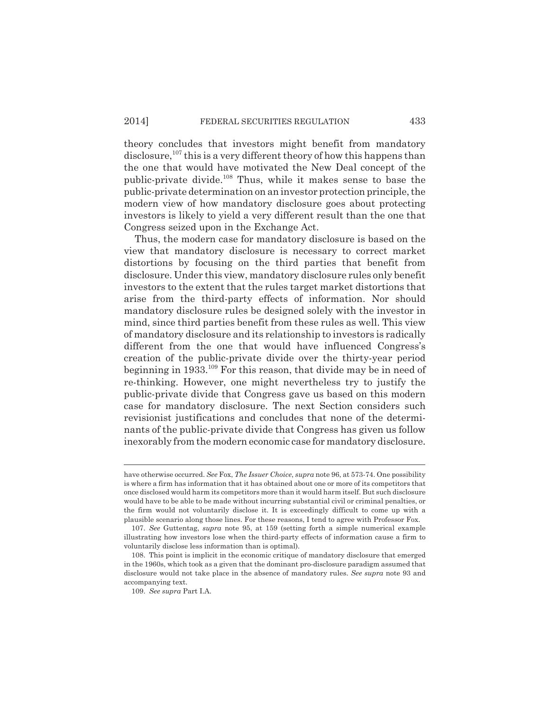theory concludes that investors might benefit from mandatory disclosure,  $107$  this is a very different theory of how this happens than the one that would have motivated the New Deal concept of the public-private divide.<sup>108</sup> Thus, while it makes sense to base the public-private determination on an investor protection principle, the modern view of how mandatory disclosure goes about protecting investors is likely to yield a very different result than the one that Congress seized upon in the Exchange Act.

Thus, the modern case for mandatory disclosure is based on the view that mandatory disclosure is necessary to correct market distortions by focusing on the third parties that benefit from disclosure. Under this view, mandatory disclosure rules only benefit investors to the extent that the rules target market distortions that arise from the third-party effects of information. Nor should mandatory disclosure rules be designed solely with the investor in mind, since third parties benefit from these rules as well. This view of mandatory disclosure and its relationship to investors is radically different from the one that would have influenced Congress's creation of the public-private divide over the thirty-year period beginning in 1933.<sup>109</sup> For this reason, that divide may be in need of re-thinking. However, one might nevertheless try to justify the public-private divide that Congress gave us based on this modern case for mandatory disclosure. The next Section considers such revisionist justifications and concludes that none of the determinants of the public-private divide that Congress has given us follow inexorably from the modern economic case for mandatory disclosure.

have otherwise occurred. *See* Fox, *The Issuer Choice*, *supra* note 96, at 573-74. One possibility is where a firm has information that it has obtained about one or more of its competitors that once disclosed would harm its competitors more than it would harm itself. But such disclosure would have to be able to be made without incurring substantial civil or criminal penalties, or the firm would not voluntarily disclose it. It is exceedingly difficult to come up with a plausible scenario along those lines. For these reasons, I tend to agree with Professor Fox.

<sup>107.</sup> *See* Guttentag, *supra* note 95, at 159 (setting forth a simple numerical example illustrating how investors lose when the third-party effects of information cause a firm to voluntarily disclose less information than is optimal).

<sup>108.</sup> This point is implicit in the economic critique of mandatory disclosure that emerged in the 1960s, which took as a given that the dominant pro-disclosure paradigm assumed that disclosure would not take place in the absence of mandatory rules. *See supra* note 93 and accompanying text.

<sup>109.</sup> *See supra* Part I.A.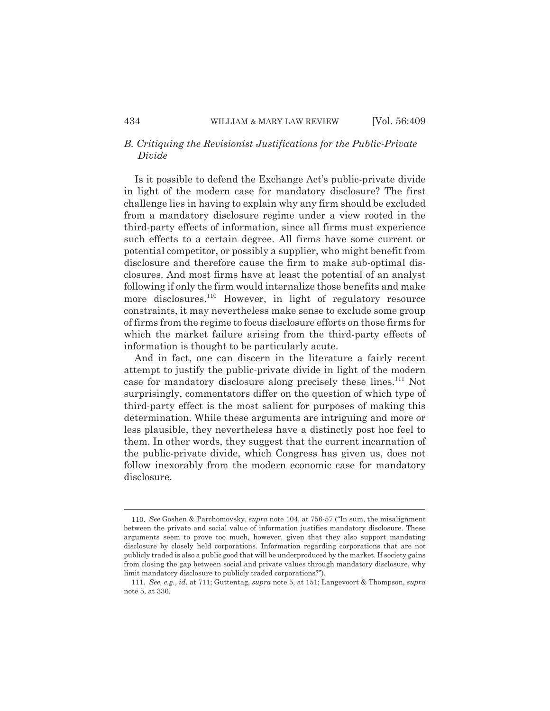## *B. Critiquing the Revisionist Justifications for the Public-Private Divide*

Is it possible to defend the Exchange Act's public-private divide in light of the modern case for mandatory disclosure? The first challenge lies in having to explain why any firm should be excluded from a mandatory disclosure regime under a view rooted in the third-party effects of information, since all firms must experience such effects to a certain degree. All firms have some current or potential competitor, or possibly a supplier, who might benefit from disclosure and therefore cause the firm to make sub-optimal disclosures. And most firms have at least the potential of an analyst following if only the firm would internalize those benefits and make more disclosures.<sup>110</sup> However, in light of regulatory resource constraints, it may nevertheless make sense to exclude some group of firms from the regime to focus disclosure efforts on those firms for which the market failure arising from the third-party effects of information is thought to be particularly acute.

And in fact, one can discern in the literature a fairly recent attempt to justify the public-private divide in light of the modern case for mandatory disclosure along precisely these lines.<sup>111</sup> Not surprisingly, commentators differ on the question of which type of third-party effect is the most salient for purposes of making this determination. While these arguments are intriguing and more or less plausible, they nevertheless have a distinctly post hoc feel to them. In other words, they suggest that the current incarnation of the public-private divide, which Congress has given us, does not follow inexorably from the modern economic case for mandatory disclosure.

<sup>110.</sup> *See* Goshen & Parchomovsky, *supra* note 104, at 756-57 ("In sum, the misalignment between the private and social value of information justifies mandatory disclosure. These arguments seem to prove too much, however, given that they also support mandating disclosure by closely held corporations. Information regarding corporations that are not publicly traded is also a public good that will be underproduced by the market. If society gains from closing the gap between social and private values through mandatory disclosure, why limit mandatory disclosure to publicly traded corporations?").

<sup>111.</sup> *See, e.g.*, *id.* at 711; Guttentag, *supra* note 5, at 151; Langevoort & Thompson, *supra* note 5, at 336.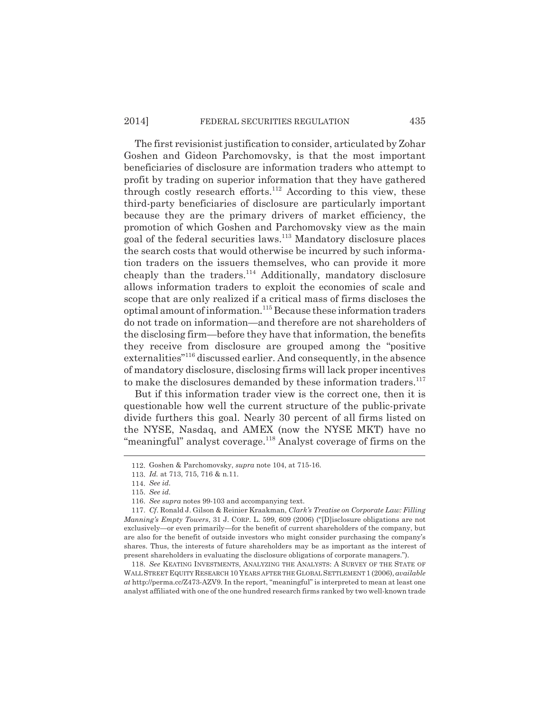## 2014] FEDERAL SECURITIES REGULATION 435

The first revisionist justification to consider, articulated by Zohar Goshen and Gideon Parchomovsky, is that the most important beneficiaries of disclosure are information traders who attempt to profit by trading on superior information that they have gathered through costly research efforts.<sup>112</sup> According to this view, these third-party beneficiaries of disclosure are particularly important because they are the primary drivers of market efficiency, the promotion of which Goshen and Parchomovsky view as the main goal of the federal securities laws.<sup>113</sup> Mandatory disclosure places the search costs that would otherwise be incurred by such information traders on the issuers themselves, who can provide it more cheaply than the traders.<sup>114</sup> Additionally, mandatory disclosure allows information traders to exploit the economies of scale and scope that are only realized if a critical mass of firms discloses the optimal amount of information.<sup>115</sup> Because these information traders do not trade on information—and therefore are not shareholders of the disclosing firm—before they have that information, the benefits they receive from disclosure are grouped among the "positive externalities"<sup>116</sup> discussed earlier. And consequently, in the absence of mandatory disclosure, disclosing firms will lack proper incentives to make the disclosures demanded by these information traders.<sup>117</sup>

But if this information trader view is the correct one, then it is questionable how well the current structure of the public-private divide furthers this goal. Nearly 30 percent of all firms listed on the NYSE, Nasdaq, and AMEX (now the NYSE MKT) have no "meaningful" analyst coverage.<sup>118</sup> Analyst coverage of firms on the

118. *See* KEATING INVESTMENTS, ANALYZING THE ANALYSTS: A SURVEY OF THE STATE OF WALL STREET EQUITY RESEARCH 10 YEARS AFTER THE GLOBAL SETTLEMENT 1 (2006), *available at* http://perma.cc/Z473-AZV9. In the report, "meaningful" is interpreted to mean at least one analyst affiliated with one of the one hundred research firms ranked by two well-known trade

<sup>112.</sup> Goshen & Parchomovsky, *supra* note 104, at 715-16.

<sup>113.</sup> *Id.* at 713, 715, 716 & n.11.

<sup>114.</sup> *See id.*

<sup>115.</sup> *See id.*

<sup>116.</sup> *See supra* notes 99-103 and accompanying text.

<sup>117.</sup> *Cf*. Ronald J. Gilson & Reinier Kraakman, *Clark's Treatise on Corporate Law: Filling Manning's Empty Towers*, 31 J. CORP. L. 599, 609 (2006) ("[D]isclosure obligations are not exclusively—or even primarily—for the benefit of current shareholders of the company, but are also for the benefit of outside investors who might consider purchasing the company's shares. Thus, the interests of future shareholders may be as important as the interest of present shareholders in evaluating the disclosure obligations of corporate managers.").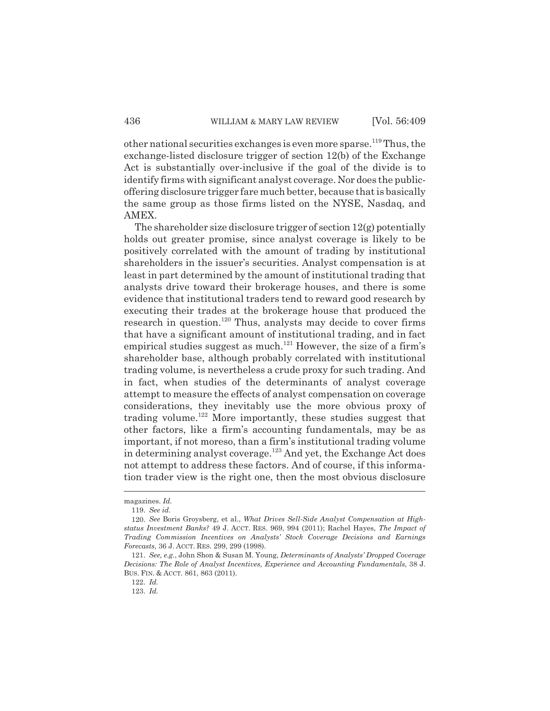other national securities exchanges is even more sparse.<sup>119</sup> Thus, the exchange-listed disclosure trigger of section 12(b) of the Exchange Act is substantially over-inclusive if the goal of the divide is to identify firms with significant analyst coverage. Nor does the publicoffering disclosure trigger fare much better, because that is basically the same group as those firms listed on the NYSE, Nasdaq, and AMEX.

The shareholder size disclosure trigger of section 12(g) potentially holds out greater promise, since analyst coverage is likely to be positively correlated with the amount of trading by institutional shareholders in the issuer's securities. Analyst compensation is at least in part determined by the amount of institutional trading that analysts drive toward their brokerage houses, and there is some evidence that institutional traders tend to reward good research by executing their trades at the brokerage house that produced the research in question.<sup>120</sup> Thus, analysts may decide to cover firms that have a significant amount of institutional trading, and in fact empirical studies suggest as much.<sup>121</sup> However, the size of a firm's shareholder base, although probably correlated with institutional trading volume, is nevertheless a crude proxy for such trading. And in fact, when studies of the determinants of analyst coverage attempt to measure the effects of analyst compensation on coverage considerations, they inevitably use the more obvious proxy of trading volume.<sup>122</sup> More importantly, these studies suggest that other factors, like a firm's accounting fundamentals, may be as important, if not moreso, than a firm's institutional trading volume in determining analyst coverage.<sup>123</sup> And yet, the Exchange Act does not attempt to address these factors. And of course, if this information trader view is the right one, then the most obvious disclosure

magazines. *Id.*

<sup>119.</sup> *See id.*

<sup>120.</sup> *See* Boris Groysberg, et al., *What Drives Sell-Side Analyst Compensation at Highstatus Investment Banks?* 49 J. ACCT. RES. 969, 994 (2011); Rachel Hayes, *The Impact of Trading Commission Incentives on Analysts' Stock Coverage Decisions and Earnings Forecasts*, 36 J. ACCT. RES. 299, 299 (1998).

<sup>121.</sup> *See, e.g.*, John Shon & Susan M. Young, *Determinants of Analysts' Dropped Coverage Decisions: The Role of Analyst Incentives, Experience and Accounting Fundamentals*, 38 J. BUS. FIN. & ACCT. 861, 863 (2011).

<sup>122.</sup> *Id.*

<sup>123.</sup> *Id.*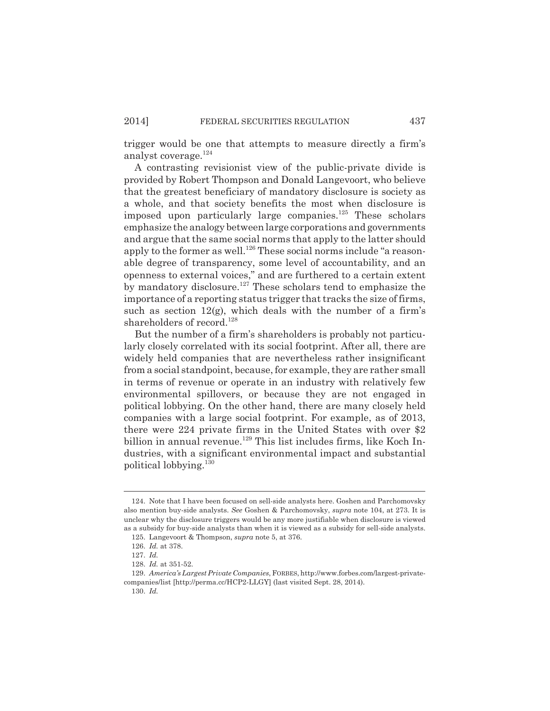trigger would be one that attempts to measure directly a firm's analyst coverage.<sup>124</sup>

A contrasting revisionist view of the public-private divide is provided by Robert Thompson and Donald Langevoort, who believe that the greatest beneficiary of mandatory disclosure is society as a whole, and that society benefits the most when disclosure is imposed upon particularly large companies.<sup>125</sup> These scholars emphasize the analogy between large corporations and governments and argue that the same social norms that apply to the latter should apply to the former as well.<sup>126</sup> These social norms include "a reasonable degree of transparency, some level of accountability, and an openness to external voices," and are furthered to a certain extent by mandatory disclosure.<sup>127</sup> These scholars tend to emphasize the importance of a reporting status trigger that tracks the size of firms, such as section  $12(g)$ , which deals with the number of a firm's shareholders of record.<sup>128</sup>

But the number of a firm's shareholders is probably not particularly closely correlated with its social footprint. After all, there are widely held companies that are nevertheless rather insignificant from a social standpoint, because, for example, they are rather small in terms of revenue or operate in an industry with relatively few environmental spillovers, or because they are not engaged in political lobbying. On the other hand, there are many closely held companies with a large social footprint. For example, as of 2013, there were 224 private firms in the United States with over \$2 billion in annual revenue.<sup>129</sup> This list includes firms, like Koch Industries, with a significant environmental impact and substantial political lobbying.<sup>130</sup>

<sup>124.</sup> Note that I have been focused on sell-side analysts here. Goshen and Parchomovsky also mention buy-side analysts. *See* Goshen & Parchomovsky, *supra* note 104, at 273. It is unclear why the disclosure triggers would be any more justifiable when disclosure is viewed as a subsidy for buy-side analysts than when it is viewed as a subsidy for sell-side analysts.

<sup>125.</sup> Langevoort & Thompson, *supra* note 5, at 376.

<sup>126.</sup> *Id.* at 378.

<sup>127.</sup> *Id.*

<sup>128.</sup> *Id.* at 351-52.

<sup>129.</sup> *America's Largest Private Companies*, FORBES, http://www.forbes.com/largest-privatecompanies/list [http://perma.cc/HCP2-LLGY] (last visited Sept. 28, 2014).

<sup>130.</sup> *Id.*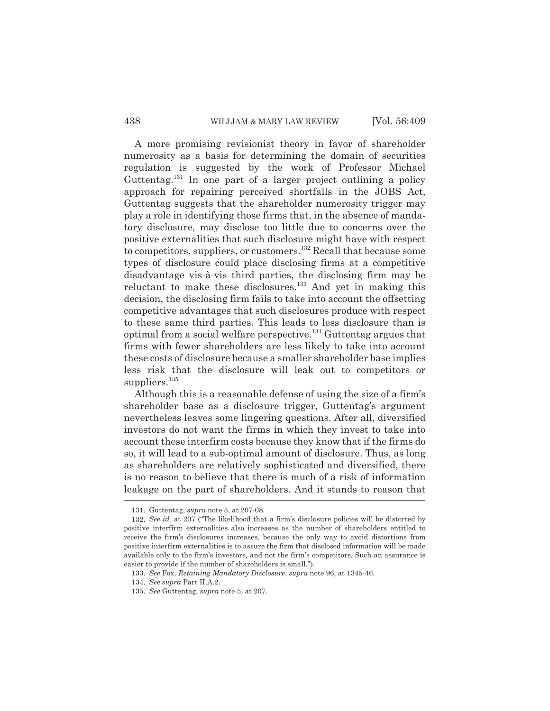#### 438 WILLIAM & MARY LAW REVIEW [Vol. 56:409

A more promising revisionist theory in favor of shareholder numerosity as a basis for determining the domain of securities regulation is suggested by the work of Professor Michael Guttentag.<sup>131</sup> In one part of a larger project outlining a policy approach for repairing perceived shortfalls in the JOBS Act, Guttentag suggests that the shareholder numerosity trigger may play a role in identifying those firms that, in the absence of mandatory disclosure, may disclose too little due to concerns over the positive externalities that such disclosure might have with respect to competitors, suppliers, or customers.<sup>132</sup> Recall that because some types of disclosure could place disclosing firms at a competitive disadvantage vis-à-vis third parties, the disclosing firm may be reluctant to make these disclosures.<sup>133</sup> And yet in making this decision, the disclosing firm fails to take into account the offsetting competitive advantages that such disclosures produce with respect to these same third parties. This leads to less disclosure than is optimal from a social welfare perspective.<sup>134</sup> Guttentag argues that firms with fewer shareholders are less likely to take into account these costs of disclosure because a smaller shareholder base implies less risk that the disclosure will leak out to competitors or suppliers. $135$ 

Although this is a reasonable defense of using the size of a firm's shareholder base as a disclosure trigger, Guttentag's argument nevertheless leaves some lingering questions. After all, diversified investors do not want the firms in which they invest to take into account these interfirm costs because they know that if the firms do so, it will lead to a sub-optimal amount of disclosure. Thus, as long as shareholders are relatively sophisticated and diversified, there is no reason to believe that there is much of a risk of information leakage on the part of shareholders. And it stands to reason that

<sup>131.</sup> Guttentag, *supra* note 5, at 207-08.

<sup>132.</sup> *See id.* at 207 ("The likelihood that a firm's disclosure policies will be distorted by positive interfirm externalities also increases as the number of shareholders entitled to receive the firm's disclosures increases, because the only way to avoid distortions from positive interfirm externalities is to assure the firm that disclosed information will be made available only to the firm's investors, and not the firm's competitors. Such an assurance is easier to provide if the number of shareholders is small.").

<sup>133.</sup> *See* Fox, *Retaining Mandatory Disclosure*, *supra* note 96, at 1345-46.

<sup>134.</sup> *See supra* Part II.A.2.

<sup>135.</sup> *See* Guttentag, *supra* note 5, at 207.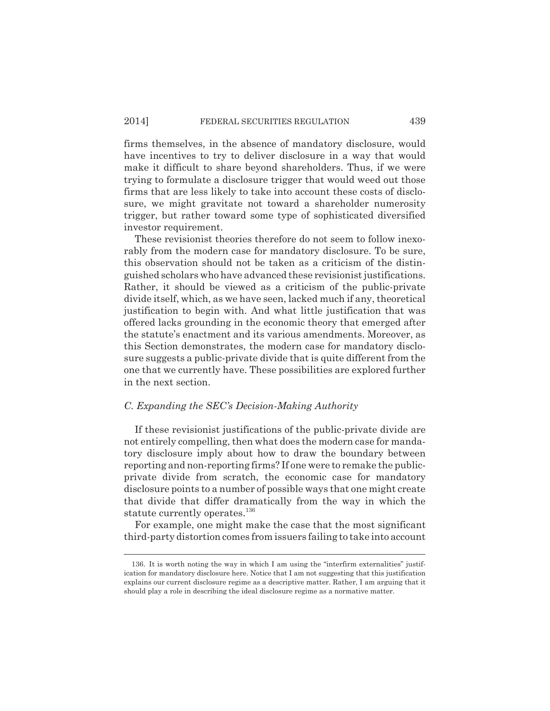firms themselves, in the absence of mandatory disclosure, would have incentives to try to deliver disclosure in a way that would make it difficult to share beyond shareholders. Thus, if we were trying to formulate a disclosure trigger that would weed out those firms that are less likely to take into account these costs of disclosure, we might gravitate not toward a shareholder numerosity trigger, but rather toward some type of sophisticated diversified investor requirement.

These revisionist theories therefore do not seem to follow inexorably from the modern case for mandatory disclosure. To be sure, this observation should not be taken as a criticism of the distinguished scholars who have advanced these revisionist justifications. Rather, it should be viewed as a criticism of the public-private divide itself, which, as we have seen, lacked much if any, theoretical justification to begin with. And what little justification that was offered lacks grounding in the economic theory that emerged after the statute's enactment and its various amendments. Moreover, as this Section demonstrates, the modern case for mandatory disclosure suggests a public-private divide that is quite different from the one that we currently have. These possibilities are explored further in the next section.

#### *C. Expanding the SEC's Decision-Making Authority*

If these revisionist justifications of the public-private divide are not entirely compelling, then what does the modern case for mandatory disclosure imply about how to draw the boundary between reporting and non-reporting firms? If one were to remake the publicprivate divide from scratch, the economic case for mandatory disclosure points to a number of possible ways that one might create that divide that differ dramatically from the way in which the statute currently operates.<sup>136</sup>

For example, one might make the case that the most significant third-party distortion comes from issuers failing to take into account

<sup>136.</sup> It is worth noting the way in which I am using the "interfirm externalities" justification for mandatory disclosure here. Notice that I am not suggesting that this justification explains our current disclosure regime as a descriptive matter. Rather, I am arguing that it should play a role in describing the ideal disclosure regime as a normative matter.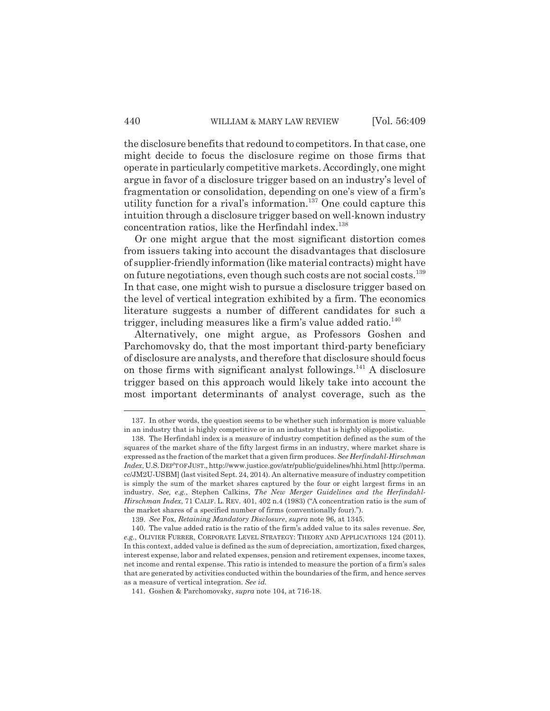the disclosure benefits that redound to competitors. In that case, one might decide to focus the disclosure regime on those firms that operate in particularly competitive markets. Accordingly, one might argue in favor of a disclosure trigger based on an industry's level of fragmentation or consolidation, depending on one's view of a firm's utility function for a rival's information.<sup>137</sup> One could capture this intuition through a disclosure trigger based on well-known industry concentration ratios, like the Herfindahl index.<sup>138</sup>

Or one might argue that the most significant distortion comes from issuers taking into account the disadvantages that disclosure of supplier-friendly information (like material contracts) might have on future negotiations, even though such costs are not social costs.<sup>139</sup> In that case, one might wish to pursue a disclosure trigger based on the level of vertical integration exhibited by a firm. The economics literature suggests a number of different candidates for such a trigger, including measures like a firm's value added ratio. $140$ 

Alternatively, one might argue, as Professors Goshen and Parchomovsky do, that the most important third-party beneficiary of disclosure are analysts, and therefore that disclosure should focus on those firms with significant analyst followings.<sup>141</sup> A disclosure trigger based on this approach would likely take into account the most important determinants of analyst coverage, such as the

139. *See* Fox, *Retaining Mandatory Disclosure*, *supra* note 96, at 1345.

<sup>137.</sup> In other words, the question seems to be whether such information is more valuable in an industry that is highly competitive or in an industry that is highly oligopolistic.

<sup>138.</sup> The Herfindahl index is a measure of industry competition defined as the sum of the squares of the market share of the fifty largest firms in an industry, where market share is expressed as the fraction of the market that a given firm produces. *See Herfindahl-Hirschman Index*, U.S.DEP'T OF JUST., http://www.justice.gov/atr/public/guidelines/hhi.html [http://perma. cc/JM2U-USBM] (last visited Sept. 24, 2014). An alternative measure of industry competition is simply the sum of the market shares captured by the four or eight largest firms in an industry. *See, e.g.*, Stephen Calkins, *The New Merger Guidelines and the Herfindahl-Hirschman Index*, 71 CALIF. L. REV. 401, 402 n.4 (1983) ("A concentration ratio is the sum of the market shares of a specified number of firms (conventionally four).").

<sup>140.</sup> The value added ratio is the ratio of the firm's added value to its sales revenue. *See, e.g.*, OLIVIER FURRER, CORPORATE LEVEL STRATEGY: THEORY AND APPLICATIONS 124 (2011). In this context, added value is defined as the sum of depreciation, amortization, fixed charges, interest expense, labor and related expenses, pension and retirement expenses, income taxes, net income and rental expense. This ratio is intended to measure the portion of a firm's sales that are generated by activities conducted within the boundaries of the firm, and hence serves as a measure of vertical integration. *See id.*

<sup>141.</sup> Goshen & Parchomovsky, *supra* note 104, at 716-18.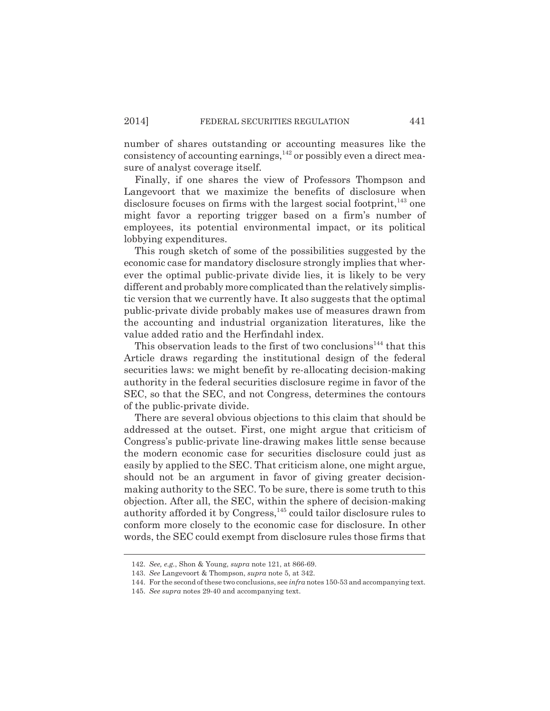number of shares outstanding or accounting measures like the consistency of accounting earnings,  $^{142}$  or possibly even a direct measure of analyst coverage itself.

Finally, if one shares the view of Professors Thompson and Langevoort that we maximize the benefits of disclosure when disclosure focuses on firms with the largest social footprint, $143$  one might favor a reporting trigger based on a firm's number of employees, its potential environmental impact, or its political lobbying expenditures.

This rough sketch of some of the possibilities suggested by the economic case for mandatory disclosure strongly implies that wherever the optimal public-private divide lies, it is likely to be very different and probably more complicated than the relatively simplistic version that we currently have. It also suggests that the optimal public-private divide probably makes use of measures drawn from the accounting and industrial organization literatures, like the value added ratio and the Herfindahl index.

This observation leads to the first of two conclusions<sup>144</sup> that this Article draws regarding the institutional design of the federal securities laws: we might benefit by re-allocating decision-making authority in the federal securities disclosure regime in favor of the SEC, so that the SEC, and not Congress, determines the contours of the public-private divide.

There are several obvious objections to this claim that should be addressed at the outset. First, one might argue that criticism of Congress's public-private line-drawing makes little sense because the modern economic case for securities disclosure could just as easily by applied to the SEC. That criticism alone, one might argue, should not be an argument in favor of giving greater decisionmaking authority to the SEC. To be sure, there is some truth to this objection. After all, the SEC, within the sphere of decision-making authority afforded it by Congress,<sup>145</sup> could tailor disclosure rules to conform more closely to the economic case for disclosure. In other words, the SEC could exempt from disclosure rules those firms that

<sup>142.</sup> *See, e.g.*, Shon & Young, *supra* note 121, at 866-69.

<sup>143.</sup> *See* Langevoort & Thompson, *supra* note 5, at 342.

<sup>144.</sup> For the second of these two conclusions, see *infra* notes 150-53 and accompanying text.

<sup>145.</sup> *See supra* notes 29-40 and accompanying text.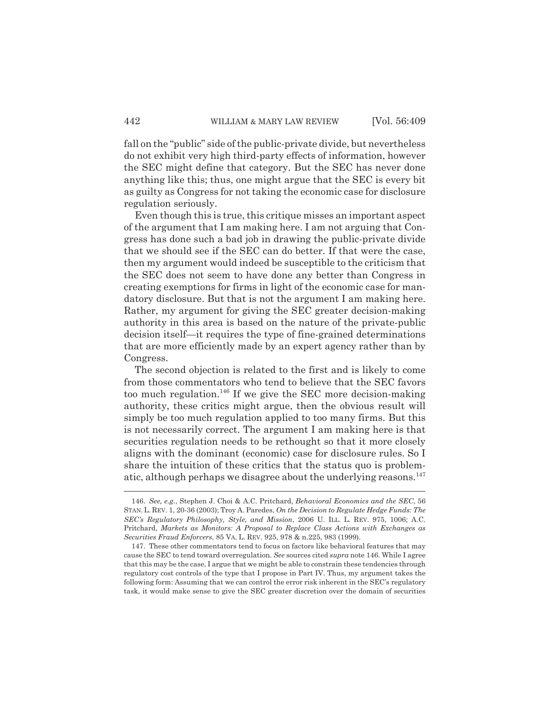fall on the "public" side of the public-private divide, but nevertheless do not exhibit very high third-party effects of information, however the SEC might define that category. But the SEC has never done anything like this; thus, one might argue that the SEC is every bit as guilty as Congress for not taking the economic case for disclosure regulation seriously.

Even though this is true, this critique misses an important aspect of the argument that I am making here. I am not arguing that Congress has done such a bad job in drawing the public-private divide that we should see if the SEC can do better. If that were the case, then my argument would indeed be susceptible to the criticism that the SEC does not seem to have done any better than Congress in creating exemptions for firms in light of the economic case for mandatory disclosure. But that is not the argument I am making here. Rather, my argument for giving the SEC greater decision-making authority in this area is based on the nature of the private-public decision itself—it requires the type of fine-grained determinations that are more efficiently made by an expert agency rather than by Congress.

The second objection is related to the first and is likely to come from those commentators who tend to believe that the SEC favors too much regulation.<sup>146</sup> If we give the SEC more decision-making authority, these critics might argue, then the obvious result will simply be too much regulation applied to too many firms. But this is not necessarily correct. The argument I am making here is that securities regulation needs to be rethought so that it more closely aligns with the dominant (economic) case for disclosure rules. So I share the intuition of these critics that the status quo is problematic, although perhaps we disagree about the underlying reasons.<sup>147</sup>

<sup>146.</sup> *See, e.g.*, Stephen J. Choi & A.C. Pritchard, *Behavioral Economics and the SEC*, 56 STAN.L. REV. 1, 20-36 (2003); Troy A. Paredes, *On the Decision to Regulate Hedge Funds: The SEC's Regulatory Philosophy, Style, and Mission*, 2006 U. ILL. L. REV. 975, 1006; A.C. Pritchard, *Markets as Monitors: A Proposal to Replace Class Actions with Exchanges as Securities Fraud Enforcers*, 85 VA. L. REV. 925, 978 & n.225, 983 (1999).

<sup>147.</sup> These other commentators tend to focus on factors like behavioral features that may cause the SEC to tend toward overregulation. *See* sources cited *supra* note 146. While I agree that this may be the case, I argue that we might be able to constrain these tendencies through regulatory cost controls of the type that I propose in Part IV. Thus, my argument takes the following form: Assuming that we can control the error risk inherent in the SEC's regulatory task, it would make sense to give the SEC greater discretion over the domain of securities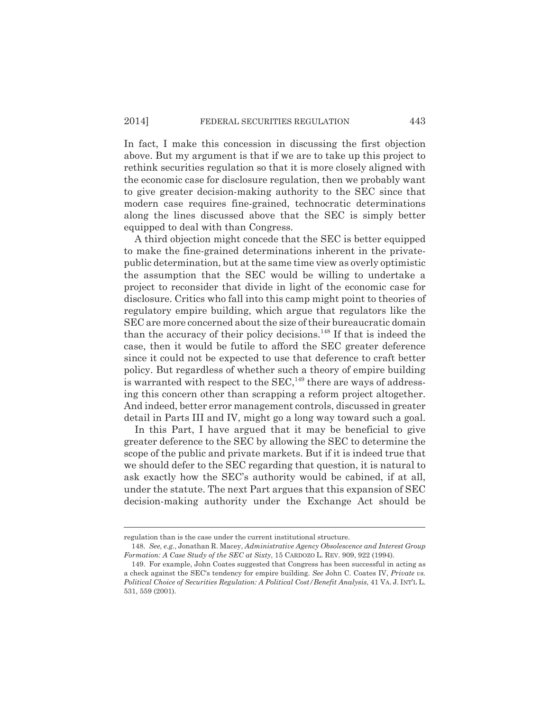In fact, I make this concession in discussing the first objection above. But my argument is that if we are to take up this project to rethink securities regulation so that it is more closely aligned with the economic case for disclosure regulation, then we probably want to give greater decision-making authority to the SEC since that modern case requires fine-grained, technocratic determinations along the lines discussed above that the SEC is simply better equipped to deal with than Congress.

A third objection might concede that the SEC is better equipped to make the fine-grained determinations inherent in the privatepublic determination, but at the same time view as overly optimistic the assumption that the SEC would be willing to undertake a project to reconsider that divide in light of the economic case for disclosure. Critics who fall into this camp might point to theories of regulatory empire building, which argue that regulators like the SEC are more concerned about the size of their bureaucratic domain than the accuracy of their policy decisions.<sup>148</sup> If that is indeed the case, then it would be futile to afford the SEC greater deference since it could not be expected to use that deference to craft better policy. But regardless of whether such a theory of empire building is warranted with respect to the SEC,<sup>149</sup> there are ways of addressing this concern other than scrapping a reform project altogether. And indeed, better error management controls, discussed in greater detail in Parts III and IV, might go a long way toward such a goal.

In this Part, I have argued that it may be beneficial to give greater deference to the SEC by allowing the SEC to determine the scope of the public and private markets. But if it is indeed true that we should defer to the SEC regarding that question, it is natural to ask exactly how the SEC's authority would be cabined, if at all, under the statute. The next Part argues that this expansion of SEC decision-making authority under the Exchange Act should be

regulation than is the case under the current institutional structure.

<sup>148.</sup> *See, e.g.*, Jonathan R. Macey, *Administrative Agency Obsolescence and Interest Group Formation: A Case Study of the SEC at Sixty*, 15 CARDOZO L. REV. 909, 922 (1994).

<sup>149.</sup> For example, John Coates suggested that Congress has been successful in acting as a check against the SEC's tendency for empire building. *See* John C. Coates IV, *Private vs. Political Choice of Securities Regulation: A Political Cost/Benefit Analysis*, 41 VA. J. INT'L L. 531, 559 (2001).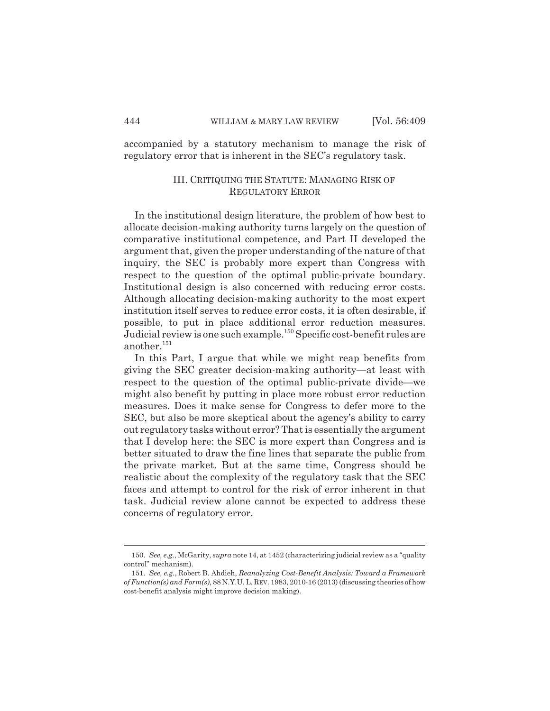accompanied by a statutory mechanism to manage the risk of regulatory error that is inherent in the SEC's regulatory task.

## III. CRITIQUING THE STATUTE: MANAGING RISK OF REGULATORY ERROR

In the institutional design literature, the problem of how best to allocate decision-making authority turns largely on the question of comparative institutional competence, and Part II developed the argument that, given the proper understanding of the nature of that inquiry, the SEC is probably more expert than Congress with respect to the question of the optimal public-private boundary. Institutional design is also concerned with reducing error costs. Although allocating decision-making authority to the most expert institution itself serves to reduce error costs, it is often desirable, if possible, to put in place additional error reduction measures. Judicial review is one such example.<sup>150</sup> Specific cost-benefit rules are another.<sup>151</sup>

In this Part, I argue that while we might reap benefits from giving the SEC greater decision-making authority—at least with respect to the question of the optimal public-private divide—we might also benefit by putting in place more robust error reduction measures. Does it make sense for Congress to defer more to the SEC, but also be more skeptical about the agency's ability to carry out regulatory tasks without error? That is essentially the argument that I develop here: the SEC is more expert than Congress and is better situated to draw the fine lines that separate the public from the private market. But at the same time, Congress should be realistic about the complexity of the regulatory task that the SEC faces and attempt to control for the risk of error inherent in that task. Judicial review alone cannot be expected to address these concerns of regulatory error.

<sup>150.</sup> *See, e.g.*, McGarity, *supra* note 14, at 1452 (characterizing judicial review as a "quality control" mechanism).

<sup>151.</sup> *See, e.g.*, Robert B. Ahdieh, *Reanalyzing Cost-Benefit Analysis: Toward a Framework of Function(s) and Form(s)*, 88 N.Y.U. L. REV. 1983, 2010-16 (2013) (discussing theories of how cost-benefit analysis might improve decision making).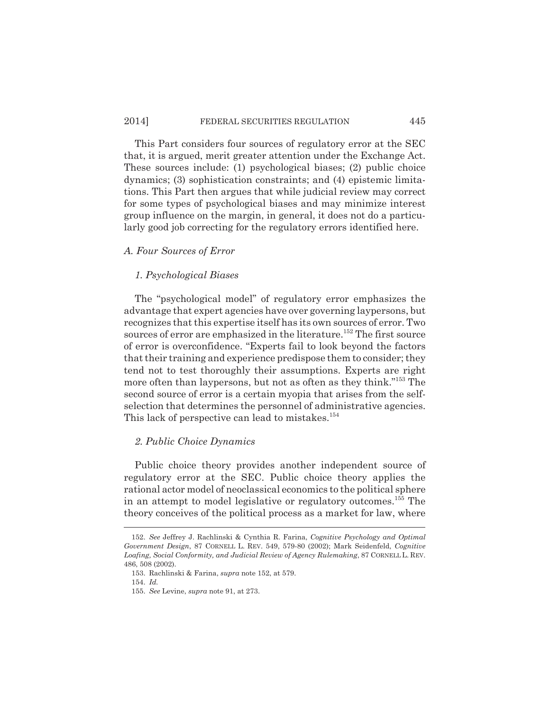## 2014] FEDERAL SECURITIES REGULATION 445

This Part considers four sources of regulatory error at the SEC that, it is argued, merit greater attention under the Exchange Act. These sources include: (1) psychological biases; (2) public choice dynamics; (3) sophistication constraints; and (4) epistemic limitations. This Part then argues that while judicial review may correct for some types of psychological biases and may minimize interest group influence on the margin, in general, it does not do a particularly good job correcting for the regulatory errors identified here.

## *A. Four Sources of Error*

## *1. Psychological Biases*

The "psychological model" of regulatory error emphasizes the advantage that expert agencies have over governing laypersons, but recognizes that this expertise itself has its own sources of error. Two sources of error are emphasized in the literature.<sup>152</sup> The first source of error is overconfidence. "Experts fail to look beyond the factors that their training and experience predispose them to consider; they tend not to test thoroughly their assumptions. Experts are right more often than laypersons, but not as often as they think."<sup>153</sup> The second source of error is a certain myopia that arises from the selfselection that determines the personnel of administrative agencies. This lack of perspective can lead to mistakes.<sup>154</sup>

## *2. Public Choice Dynamics*

Public choice theory provides another independent source of regulatory error at the SEC. Public choice theory applies the rational actor model of neoclassical economics to the political sphere in an attempt to model legislative or regulatory outcomes.<sup>155</sup> The theory conceives of the political process as a market for law, where

<sup>152.</sup> *See* Jeffrey J. Rachlinski & Cynthia R. Farina, *Cognitive Psychology and Optimal Government Design*, 87 CORNELL L. REV. 549, 579-80 (2002); Mark Seidenfeld, *Cognitive Loafing, Social Conformity, and Judicial Review of Agency Rulemaking*, 87 CORNELL L. REV. 486, 508 (2002).

<sup>153.</sup> Rachlinski & Farina, *supra* note 152, at 579.

<sup>154.</sup> *Id.*

<sup>155.</sup> *See* Levine, *supra* note 91, at 273.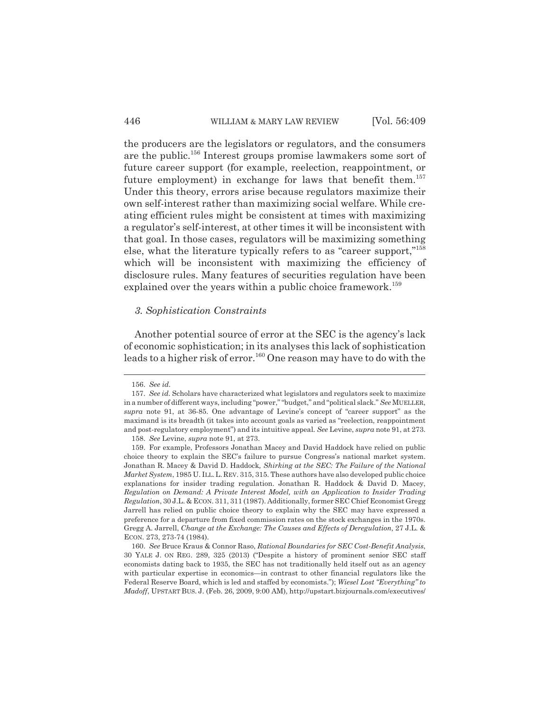the producers are the legislators or regulators, and the consumers are the public.<sup>156</sup> Interest groups promise lawmakers some sort of future career support (for example, reelection, reappointment, or future employment) in exchange for laws that benefit them.<sup>157</sup> Under this theory, errors arise because regulators maximize their own self-interest rather than maximizing social welfare. While creating efficient rules might be consistent at times with maximizing a regulator's self-interest, at other times it will be inconsistent with that goal. In those cases, regulators will be maximizing something else, what the literature typically refers to as "career support,"<sup>158</sup> which will be inconsistent with maximizing the efficiency of disclosure rules. Many features of securities regulation have been explained over the years within a public choice framework.<sup>159</sup>

#### *3. Sophistication Constraints*

Another potential source of error at the SEC is the agency's lack of economic sophistication; in its analyses this lack of sophistication leads to a higher risk of error.<sup>160</sup> One reason may have to do with the

<sup>156.</sup> *See id.*

<sup>157.</sup> *See id.* Scholars have characterized what legislators and regulators seek to maximize in a number of different ways, including "power," "budget," and "political slack." *See* MUELLER, *supra* note 91, at 36-85. One advantage of Levine's concept of "career support" as the maximand is its breadth (it takes into account goals as varied as "reelection, reappointment and post-regulatory employment") and its intuitive appeal. *See* Levine, *supra* note 91, at 273.

<sup>158.</sup> *See* Levine, *supra* note 91, at 273.

<sup>159.</sup> For example, Professors Jonathan Macey and David Haddock have relied on public choice theory to explain the SEC's failure to pursue Congress's national market system. Jonathan R. Macey & David D. Haddock*, Shirking at the SEC: The Failure of the National Market System*, 1985 U. ILL.L.REV. 315, 315. These authors have also developed public choice explanations for insider trading regulation. Jonathan R. Haddock & David D. Macey, *Regulation on Demand: A Private Interest Model, with an Application to Insider Trading Regulation*, 30 J.L. & ECON. 311, 311 (1987). Additionally, former SEC Chief Economist Gregg Jarrell has relied on public choice theory to explain why the SEC may have expressed a preference for a departure from fixed commission rates on the stock exchanges in the 1970s. Gregg A. Jarrell, *Change at the Exchange: The Causes and Effects of Deregulation,* 27 J.L. & ECON. 273, 273-74 (1984).

<sup>160.</sup> *See* Bruce Kraus & Connor Raso, *Rational Boundaries for SEC Cost-Benefit Analysis*, 30 YALE J. ON REG. 289, 325 (2013) ("Despite a history of prominent senior SEC staff economists dating back to 1935, the SEC has not traditionally held itself out as an agency with particular expertise in economics—in contrast to other financial regulators like the Federal Reserve Board, which is led and staffed by economists."); *Wiesel Lost "Everything" to Madoff*, UPSTART BUS. J. (Feb. 26, 2009, 9:00 AM), http://upstart.bizjournals.com/executives/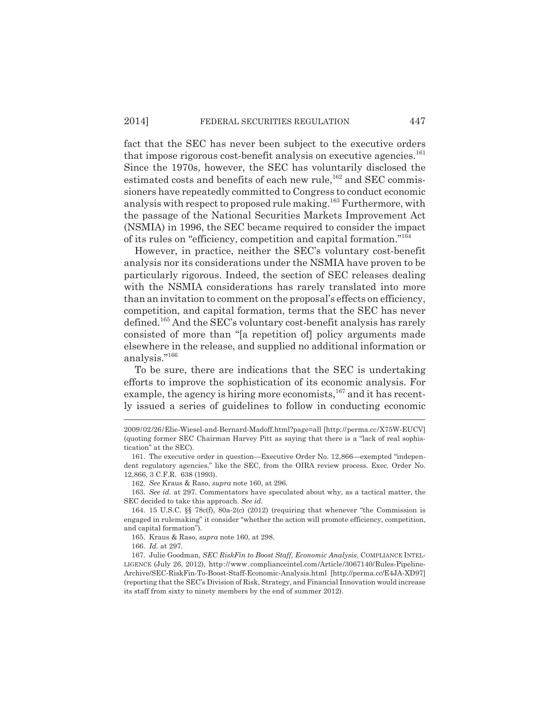fact that the SEC has never been subject to the executive orders that impose rigorous cost-benefit analysis on executive agencies.<sup>161</sup> Since the 1970s, however, the SEC has voluntarily disclosed the estimated costs and benefits of each new rule,<sup>162</sup> and SEC commissioners have repeatedly committed to Congress to conduct economic analysis with respect to proposed rule making.<sup>163</sup> Furthermore, with the passage of the National Securities Markets Improvement Act (NSMIA) in 1996, the SEC became required to consider the impact of its rules on "efficiency, competition and capital formation."<sup>164</sup>

However, in practice, neither the SEC's voluntary cost-benefit analysis nor its considerations under the NSMIA have proven to be particularly rigorous. Indeed, the section of SEC releases dealing with the NSMIA considerations has rarely translated into more than an invitation to comment on the proposal's effects on efficiency, competition, and capital formation, terms that the SEC has never defined.<sup>165</sup> And the SEC's voluntary cost-benefit analysis has rarely consisted of more than "[a repetition of] policy arguments made elsewhere in the release, and supplied no additional information or analysis."<sup>166</sup>

To be sure, there are indications that the SEC is undertaking efforts to improve the sophistication of its economic analysis. For example, the agency is hiring more economists,<sup>167</sup> and it has recently issued a series of guidelines to follow in conducting economic

162. *See* Kraus & Raso, *supra* note 160, at 296.

163. *See id.* at 297. Commentators have speculated about why, as a tactical matter, the SEC decided to take this approach. *See id.*

<sup>2009/02/26/</sup>Elie-Wiesel-and-Bernard-Madoff.html?page=all [http://perma.cc/X75W-EUCV] (quoting former SEC Chairman Harvey Pitt as saying that there is a "lack of real sophistication" at the SEC).

<sup>161.</sup> The executive order in question—Executive Order No. 12,866—exempted "independent regulatory agencies," like the SEC, from the OIRA review process. Exec. Order No. 12,866, 3 C.F.R. 638 (1993).

<sup>164.</sup> 15 U.S.C. §§ 78c(f), 80a-2(c) (2012) (requiring that whenever "the Commission is engaged in rulemaking" it consider "whether the action will promote efficiency, competition, and capital formation").

<sup>165.</sup> Kraus & Raso, *supra* note 160, at 298.

<sup>166.</sup> *Id.* at 297.

<sup>167.</sup> Julie Goodman, *SEC RiskFin to Boost Staff, Economic Analysis*, COMPLIANCE INTEL-LIGENCE (July 26, 2012), http://www.complianceintel.com/Article/3067140/Rules-Pipeline-Archive/SEC-RiskFin-To-Boost-Staff-Economic-Analysis.html [http://perma.cc/E4JA-XD97] (reporting that the SEC's Division of Risk, Strategy, and Financial Innovation would increase its staff from sixty to ninety members by the end of summer 2012).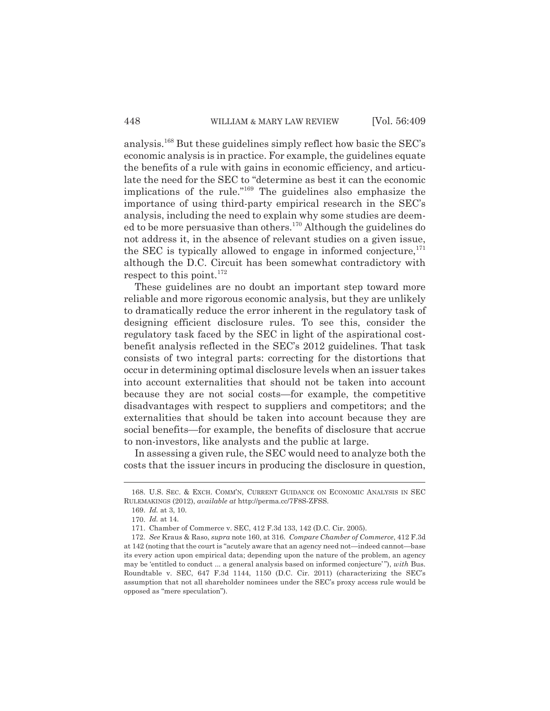analysis.<sup>168</sup> But these guidelines simply reflect how basic the SEC's economic analysis is in practice. For example, the guidelines equate the benefits of a rule with gains in economic efficiency, and articulate the need for the SEC to "determine as best it can the economic implications of the rule."<sup>169</sup> The guidelines also emphasize the importance of using third-party empirical research in the SEC's analysis, including the need to explain why some studies are deemed to be more persuasive than others.<sup>170</sup> Although the guidelines do not address it, in the absence of relevant studies on a given issue, the SEC is typically allowed to engage in informed conjecture, $^{171}$ although the D.C. Circuit has been somewhat contradictory with respect to this point.<sup>172</sup>

These guidelines are no doubt an important step toward more reliable and more rigorous economic analysis, but they are unlikely to dramatically reduce the error inherent in the regulatory task of designing efficient disclosure rules. To see this, consider the regulatory task faced by the SEC in light of the aspirational costbenefit analysis reflected in the SEC's 2012 guidelines. That task consists of two integral parts: correcting for the distortions that occur in determining optimal disclosure levels when an issuer takes into account externalities that should not be taken into account because they are not social costs—for example, the competitive disadvantages with respect to suppliers and competitors; and the externalities that should be taken into account because they are social benefits—for example, the benefits of disclosure that accrue to non-investors, like analysts and the public at large.

In assessing a given rule, the SEC would need to analyze both the costs that the issuer incurs in producing the disclosure in question,

<sup>168.</sup> U.S. SEC. & EXCH. COMM'N, CURRENT GUIDANCE ON ECONOMIC ANALYSIS IN SEC RULEMAKINGS (2012), *available at* http://perma.cc/7F8S-ZFSS.

<sup>169.</sup> *Id.* at 3, 10.

<sup>170.</sup> *Id.* at 14.

<sup>171.</sup> Chamber of Commerce v. SEC, 412 F.3d 133, 142 (D.C. Cir. 2005).

<sup>172.</sup> *See* Kraus & Raso, *supra* note 160, at 316. *Compare Chamber of Commerce*, 412 F.3d at 142 (noting that the court is "acutely aware that an agency need not—indeed cannot—base its every action upon empirical data; depending upon the nature of the problem, an agency may be 'entitled to conduct ... a general analysis based on informed conjecture' "), *with* Bus. Roundtable v. SEC, 647 F.3d 1144, 1150 (D.C. Cir. 2011) (characterizing the SEC's assumption that not all shareholder nominees under the SEC's proxy access rule would be opposed as "mere speculation").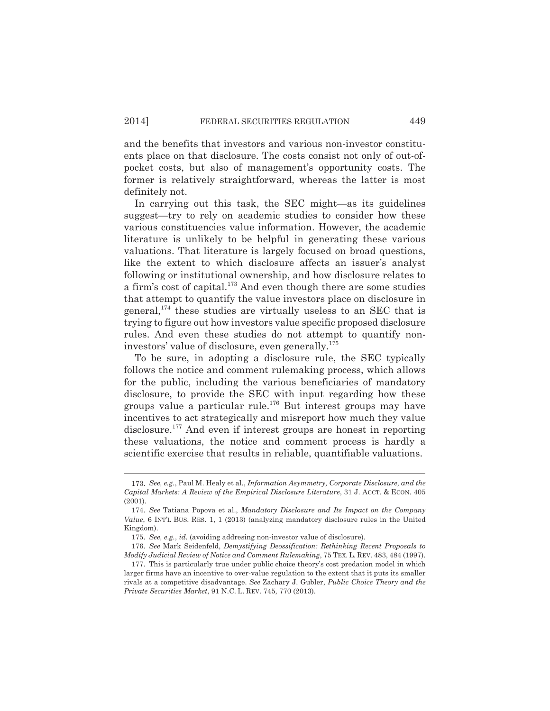and the benefits that investors and various non-investor constituents place on that disclosure. The costs consist not only of out-ofpocket costs, but also of management's opportunity costs. The former is relatively straightforward, whereas the latter is most definitely not.

In carrying out this task, the SEC might—as its guidelines suggest—try to rely on academic studies to consider how these various constituencies value information. However, the academic literature is unlikely to be helpful in generating these various valuations. That literature is largely focused on broad questions, like the extent to which disclosure affects an issuer's analyst following or institutional ownership, and how disclosure relates to a firm's cost of capital.<sup>173</sup> And even though there are some studies that attempt to quantify the value investors place on disclosure in general,<sup>174</sup> these studies are virtually useless to an SEC that is trying to figure out how investors value specific proposed disclosure rules. And even these studies do not attempt to quantify noninvestors' value of disclosure, even generally.<sup>175</sup>

To be sure, in adopting a disclosure rule, the SEC typically follows the notice and comment rulemaking process, which allows for the public, including the various beneficiaries of mandatory disclosure, to provide the SEC with input regarding how these groups value a particular rule.<sup>176</sup> But interest groups may have incentives to act strategically and misreport how much they value disclosure.<sup>177</sup> And even if interest groups are honest in reporting these valuations, the notice and comment process is hardly a scientific exercise that results in reliable, quantifiable valuations.

<sup>173.</sup> *See, e.g.*, Paul M. Healy et al., *Information Asymmetry, Corporate Disclosure, and the Capital Markets: A Review of the Empirical Disclosure Literature*, 31 J. ACCT. & ECON. 405 (2001).

<sup>174.</sup> *See* Tatiana Popova et al., *Mandatory Disclosure and Its Impact on the Company Value*, 6 INT'L BUS. RES. 1, 1 (2013) (analyzing mandatory disclosure rules in the United Kingdom).

<sup>175.</sup> *See, e.g.*, *id.* (avoiding addresing non-investor value of disclosure).

<sup>176.</sup> *See* Mark Seidenfeld, *Demystifying Deossification: Rethinking Recent Proposals to Modify Judicial Review of Notice and Comment Rulemaking*, 75 TEX. L. REV. 483, 484 (1997).

<sup>177.</sup> This is particularly true under public choice theory's cost predation model in which larger firms have an incentive to over-value regulation to the extent that it puts its smaller rivals at a competitive disadvantage. *See* Zachary J. Gubler, *Public Choice Theory and the Private Securities Market*, 91 N.C. L. REV. 745, 770 (2013).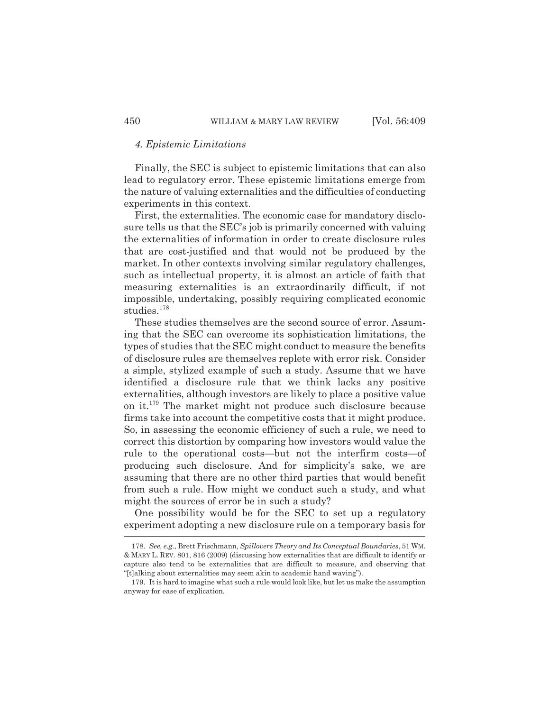## *4. Epistemic Limitations*

Finally, the SEC is subject to epistemic limitations that can also lead to regulatory error. These epistemic limitations emerge from the nature of valuing externalities and the difficulties of conducting experiments in this context.

First, the externalities. The economic case for mandatory disclosure tells us that the SEC's job is primarily concerned with valuing the externalities of information in order to create disclosure rules that are cost-justified and that would not be produced by the market. In other contexts involving similar regulatory challenges, such as intellectual property, it is almost an article of faith that measuring externalities is an extraordinarily difficult, if not impossible, undertaking, possibly requiring complicated economic studies.<sup>178</sup>

These studies themselves are the second source of error. Assuming that the SEC can overcome its sophistication limitations, the types of studies that the SEC might conduct to measure the benefits of disclosure rules are themselves replete with error risk. Consider a simple, stylized example of such a study. Assume that we have identified a disclosure rule that we think lacks any positive externalities, although investors are likely to place a positive value on it.<sup>179</sup> The market might not produce such disclosure because firms take into account the competitive costs that it might produce. So, in assessing the economic efficiency of such a rule, we need to correct this distortion by comparing how investors would value the rule to the operational costs—but not the interfirm costs—of producing such disclosure. And for simplicity's sake, we are assuming that there are no other third parties that would benefit from such a rule. How might we conduct such a study, and what might the sources of error be in such a study?

One possibility would be for the SEC to set up a regulatory experiment adopting a new disclosure rule on a temporary basis for

<sup>178.</sup> *See, e.g.*, Brett Frischmann, *Spillovers Theory and Its Conceptual Boundaries*, 51 WM. & MARY L. REV. 801, 816 (2009) (discussing how externalities that are difficult to identify or capture also tend to be externalities that are difficult to measure, and observing that "[t]alking about externalities may seem akin to academic hand waving").

<sup>179.</sup> It is hard to imagine what such a rule would look like, but let us make the assumption anyway for ease of explication.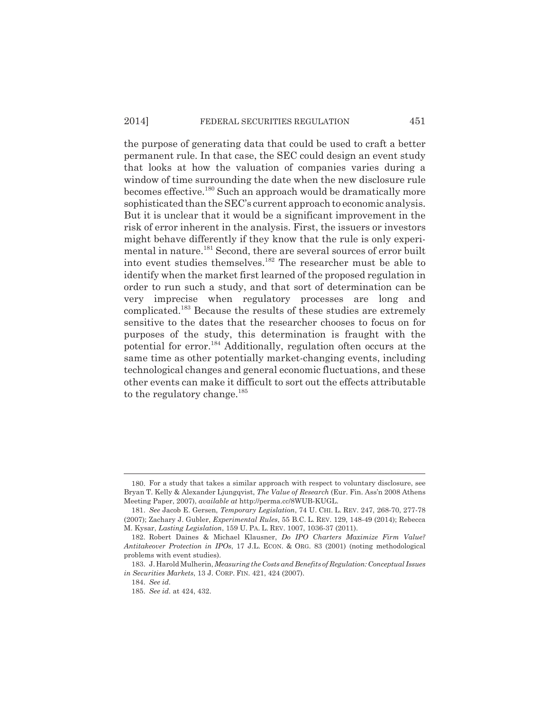## 2014] FEDERAL SECURITIES REGULATION 451

the purpose of generating data that could be used to craft a better permanent rule. In that case, the SEC could design an event study that looks at how the valuation of companies varies during a window of time surrounding the date when the new disclosure rule becomes effective.<sup>180</sup> Such an approach would be dramatically more sophisticated than the SEC's current approach to economic analysis. But it is unclear that it would be a significant improvement in the risk of error inherent in the analysis. First, the issuers or investors might behave differently if they know that the rule is only experimental in nature.<sup>181</sup> Second, there are several sources of error built into event studies themselves.<sup>182</sup> The researcher must be able to identify when the market first learned of the proposed regulation in order to run such a study, and that sort of determination can be very imprecise when regulatory processes are long and complicated.<sup>183</sup> Because the results of these studies are extremely sensitive to the dates that the researcher chooses to focus on for purposes of the study, this determination is fraught with the potential for error.<sup>184</sup> Additionally, regulation often occurs at the same time as other potentially market-changing events, including technological changes and general economic fluctuations, and these other events can make it difficult to sort out the effects attributable to the regulatory change.<sup>185</sup>

<sup>180.</sup> For a study that takes a similar approach with respect to voluntary disclosure, see Bryan T. Kelly & Alexander Ljungqvist, *The Value of Research* (Eur. Fin. Ass'n 2008 Athens Meeting Paper, 2007), *available at* http://perma.cc/8WUB-KUGL.

<sup>181.</sup> *See* Jacob E. Gersen, *Temporary Legislation*, 74 U. CHI. L. REV. 247, 268-70, 277-78 (2007); Zachary J. Gubler, *Experimental Rules*, 55 B.C. L. REV. 129, 148-49 (2014); Rebecca M. Kysar, *Lasting Legislation*, 159 U. PA. L. REV. 1007, 1036-37 (2011).

<sup>182.</sup> Robert Daines & Michael Klausner, *Do IPO Charters Maximize Firm Value? Antitakeover Protection in IPOs*, 17 J.L. ECON. & ORG. 83 (2001) (noting methodological problems with event studies).

<sup>183.</sup> J. Harold Mulherin, *Measuring the Costs and Benefits of Regulation: Conceptual Issues in Securities Markets*, 13 J. CORP. FIN. 421, 424 (2007).

<sup>184.</sup> *See id.*

<sup>185.</sup> *See id.* at 424, 432.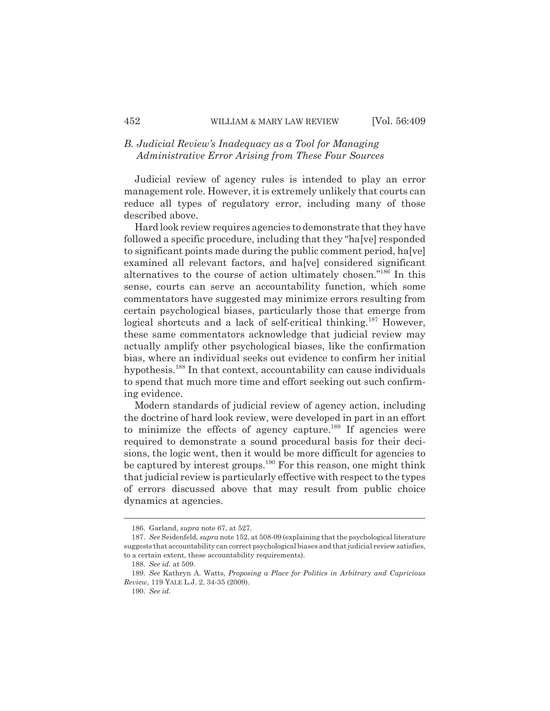## *B. Judicial Review's Inadequacy as a Tool for Managing Administrative Error Arising from These Four Sources*

Judicial review of agency rules is intended to play an error management role. However, it is extremely unlikely that courts can reduce all types of regulatory error, including many of those described above.

Hard look review requires agencies to demonstrate that they have followed a specific procedure, including that they "ha[ve] responded to significant points made during the public comment period, ha[ve] examined all relevant factors, and ha[ve] considered significant alternatives to the course of action ultimately chosen."<sup>186</sup> In this sense, courts can serve an accountability function, which some commentators have suggested may minimize errors resulting from certain psychological biases, particularly those that emerge from logical shortcuts and a lack of self-critical thinking.<sup>187</sup> However, these same commentators acknowledge that judicial review may actually amplify other psychological biases, like the confirmation bias, where an individual seeks out evidence to confirm her initial hypothesis.<sup>188</sup> In that context, accountability can cause individuals to spend that much more time and effort seeking out such confirming evidence.

Modern standards of judicial review of agency action, including the doctrine of hard look review, were developed in part in an effort to minimize the effects of agency capture.<sup>189</sup> If agencies were required to demonstrate a sound procedural basis for their decisions, the logic went, then it would be more difficult for agencies to be captured by interest groups.<sup>190</sup> For this reason, one might think that judicial review is particularly effective with respect to the types of errors discussed above that may result from public choice dynamics at agencies.

<sup>186.</sup> Garland, *supra* note 67, at 527.

<sup>187.</sup> *See* Seidenfeld, *supra* note 152, at 508-09 (explaining that the psychological literature suggests that accountability can correct psychological biases and that judicial review satisfies, to a certain extent, these accountability requirements).

<sup>188.</sup> *See id.* at 509.

<sup>189.</sup> *See* Kathryn A. Watts, *Proposing a Place for Politics in Arbitrary and Capricious Review*, 119 YALE L.J. 2, 34-35 (2009).

<sup>190.</sup> *See id.*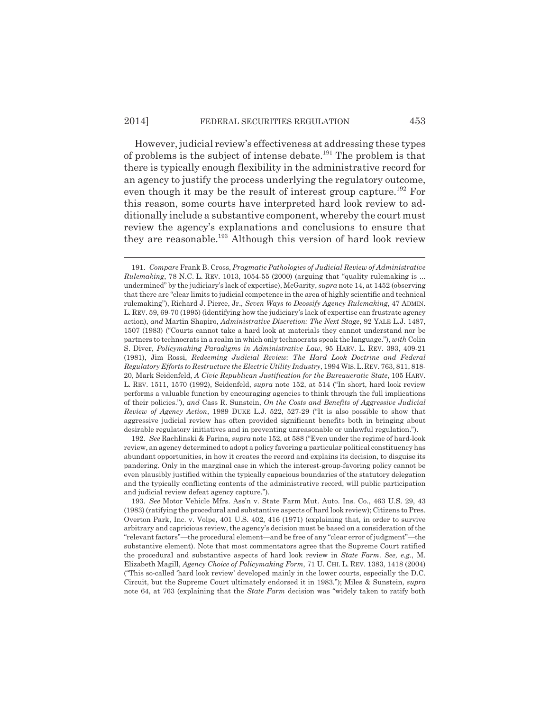However, judicial review's effectiveness at addressing these types of problems is the subject of intense debate.<sup>191</sup> The problem is that there is typically enough flexibility in the administrative record for an agency to justify the process underlying the regulatory outcome, even though it may be the result of interest group capture.<sup>192</sup> For this reason, some courts have interpreted hard look review to additionally include a substantive component, whereby the court must review the agency's explanations and conclusions to ensure that they are reasonable.<sup>193</sup> Although this version of hard look review

192. *See* Rachlinski & Farina*, supra* note 152, at 588 ("Even under the regime of hard-look review, an agency determined to adopt a policy favoring a particular political constituency has abundant opportunities, in how it creates the record and explains its decision, to disguise its pandering. Only in the marginal case in which the interest-group-favoring policy cannot be even plausibly justified within the typically capacious boundaries of the statutory delegation and the typically conflicting contents of the administrative record, will public participation and judicial review defeat agency capture.").

<sup>191.</sup> *Compare* Frank B. Cross, *Pragmatic Pathologies of Judicial Review of Administrative Rulemaking*, 78 N.C. L. REV. 1013, 1054-55 (2000) (arguing that "quality rulemaking is ... undermined" by the judiciary's lack of expertise), McGarity, *supra* note 14, at 1452 (observing that there are "clear limits to judicial competence in the area of highly scientific and technical rulemaking"), Richard J. Pierce, Jr., *Seven Ways to Deossify Agency Rulemaking*, 47 ADMIN. L. REV. 59, 69-70 (1995) (identifying how the judiciary's lack of expertise can frustrate agency action), *and* Martin Shapiro, *Administrative Discretion: The Next Stage*, 92 YALE L.J. 1487, 1507 (1983) ("Courts cannot take a hard look at materials they cannot understand nor be partners to technocrats in a realm in which only technocrats speak the language."), *with* Colin S. Diver, *Policymaking Paradigms in Administrative Law*, 95 HARV. L. REV. 393, 409-21 (1981), Jim Rossi, *Redeeming Judicial Review: The Hard Look Doctrine and Federal Regulatory Efforts to Restructure the Electric Utility Industry*, 1994 WIS.L.REV. 763, 811, 818- 20, Mark Seidenfeld, *A Civic Republican Justification for the Bureaucratic State*, 105 HARV. L. REV. 1511, 1570 (1992), Seidenfeld, *supra* note 152, at 514 ("In short, hard look review performs a valuable function by encouraging agencies to think through the full implications of their policies."), *and* Cass R. Sunstein, *On the Costs and Benefits of Aggressive Judicial Review of Agency Action*, 1989 DUKE L.J. 522, 527-29 ("It is also possible to show that aggressive judicial review has often provided significant benefits both in bringing about desirable regulatory initiatives and in preventing unreasonable or unlawful regulation.").

<sup>193.</sup> *See* Motor Vehicle Mfrs. Ass'n v. State Farm Mut. Auto. Ins. Co., 463 U.S. 29, 43 (1983) (ratifying the procedural and substantive aspects of hard look review); Citizens to Pres. Overton Park, Inc. v. Volpe, 401 U.S. 402, 416 (1971) (explaining that, in order to survive arbitrary and capricious review, the agency's decision must be based on a consideration of the "relevant factors"—the procedural element—and be free of any "clear error of judgment"—the substantive element). Note that most commentators agree that the Supreme Court ratified the procedural and substantive aspects of hard look review in *State Farm*. *See, e.g.*, M. Elizabeth Magill, *Agency Choice of Policymaking Form*, 71 U. CHI. L. REV. 1383, 1418 (2004) ("This so-called 'hard look review' developed mainly in the lower courts, especially the D.C. Circuit, but the Supreme Court ultimately endorsed it in 1983."); Miles & Sunstein, *supra* note 64, at 763 (explaining that the *State Farm* decision was "widely taken to ratify both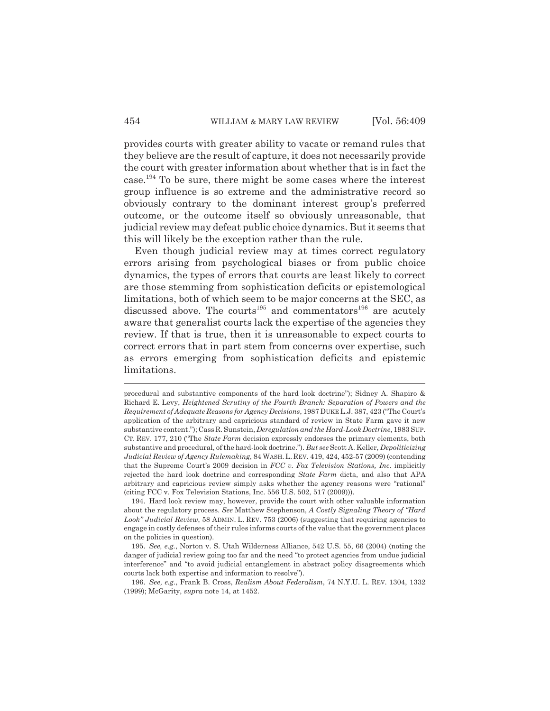provides courts with greater ability to vacate or remand rules that they believe are the result of capture, it does not necessarily provide the court with greater information about whether that is in fact the case.<sup>194</sup> To be sure, there might be some cases where the interest group influence is so extreme and the administrative record so obviously contrary to the dominant interest group's preferred outcome, or the outcome itself so obviously unreasonable, that judicial review may defeat public choice dynamics. But it seems that this will likely be the exception rather than the rule.

Even though judicial review may at times correct regulatory errors arising from psychological biases or from public choice dynamics, the types of errors that courts are least likely to correct are those stemming from sophistication deficits or epistemological limitations, both of which seem to be major concerns at the SEC, as discussed above. The courts<sup>195</sup> and commentators<sup>196</sup> are acutely aware that generalist courts lack the expertise of the agencies they review. If that is true, then it is unreasonable to expect courts to correct errors that in part stem from concerns over expertise, such as errors emerging from sophistication deficits and epistemic limitations.

procedural and substantive components of the hard look doctrine"); Sidney A. Shapiro & Richard E. Levy, *Heightened Scrutiny of the Fourth Branch: Separation of Powers and the Requirement of Adequate Reasons for Agency Decisions*, 1987 DUKE L.J. 387, 423 ("The Court's application of the arbitrary and capricious standard of review in State Farm gave it new substantive content."); Cass R. Sunstein, *Deregulation and the Hard-Look Doctrine*, 1983 SUP. CT. REV. 177, 210 ("The *State Farm* decision expressly endorses the primary elements, both substantive and procedural, of the hard-look doctrine."). *But see* Scott A. Keller, *Depoliticizing Judicial Review of Agency Rulemaking*, 84 WASH.L. REV. 419, 424, 452-57 (2009) (contending that the Supreme Court's 2009 decision in *FCC v. Fox Television Stations, Inc.* implicitly rejected the hard look doctrine and corresponding *State Farm* dicta, and also that APA arbitrary and capricious review simply asks whether the agency reasons were "rational" (citing FCC v. Fox Television Stations, Inc. 556 U.S. 502, 517 (2009))).

<sup>194.</sup> Hard look review may, however, provide the court with other valuable information about the regulatory process. *See* Matthew Stephenson, *A Costly Signaling Theory of "Hard* Look" Judicial Review, 58 ADMIN. L. REV. 753 (2006) (suggesting that requiring agencies to engage in costly defenses of their rules informs courts of the value that the government places on the policies in question).

<sup>195.</sup> *See, e.g.*, Norton v. S. Utah Wilderness Alliance, 542 U.S. 55, 66 (2004) (noting the danger of judicial review going too far and the need "to protect agencies from undue judicial interference" and "to avoid judicial entanglement in abstract policy disagreements which courts lack both expertise and information to resolve").

<sup>196.</sup> *See, e.g.*, Frank B. Cross, *Realism About Federalism*, 74 N.Y.U. L. REV. 1304, 1332 (1999); McGarity, *supra* note 14, at 1452.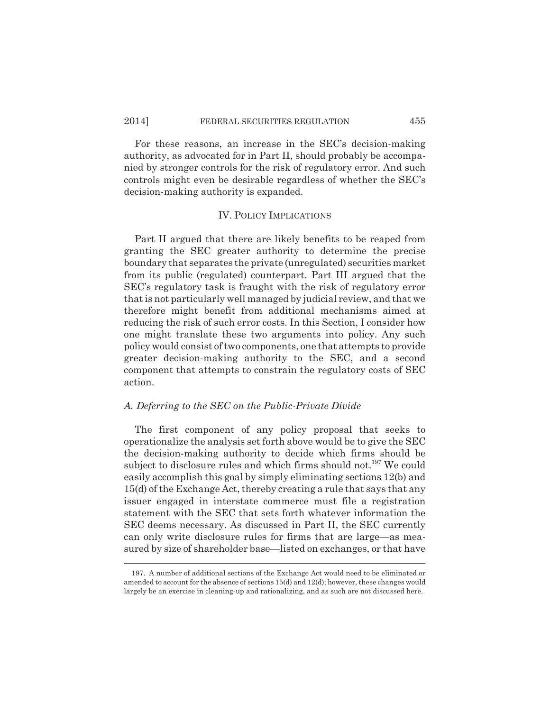## 2014] FEDERAL SECURITIES REGULATION 455

For these reasons, an increase in the SEC's decision-making authority, as advocated for in Part II, should probably be accompanied by stronger controls for the risk of regulatory error. And such controls might even be desirable regardless of whether the SEC's decision-making authority is expanded.

#### IV. POLICY IMPLICATIONS

Part II argued that there are likely benefits to be reaped from granting the SEC greater authority to determine the precise boundary that separates the private (unregulated) securities market from its public (regulated) counterpart. Part III argued that the SEC's regulatory task is fraught with the risk of regulatory error that is not particularly well managed by judicial review, and that we therefore might benefit from additional mechanisms aimed at reducing the risk of such error costs. In this Section, I consider how one might translate these two arguments into policy. Any such policy would consist of two components, one that attempts to provide greater decision-making authority to the SEC, and a second component that attempts to constrain the regulatory costs of SEC action.

#### *A. Deferring to the SEC on the Public-Private Divide*

The first component of any policy proposal that seeks to operationalize the analysis set forth above would be to give the SEC the decision-making authority to decide which firms should be subject to disclosure rules and which firms should not.<sup>197</sup> We could easily accomplish this goal by simply eliminating sections 12(b) and 15(d) of the Exchange Act, thereby creating a rule that says that any issuer engaged in interstate commerce must file a registration statement with the SEC that sets forth whatever information the SEC deems necessary. As discussed in Part II, the SEC currently can only write disclosure rules for firms that are large—as measured by size of shareholder base—listed on exchanges, or that have

<sup>197.</sup> A number of additional sections of the Exchange Act would need to be eliminated or amended to account for the absence of sections 15(d) and 12(d); however, these changes would largely be an exercise in cleaning-up and rationalizing, and as such are not discussed here.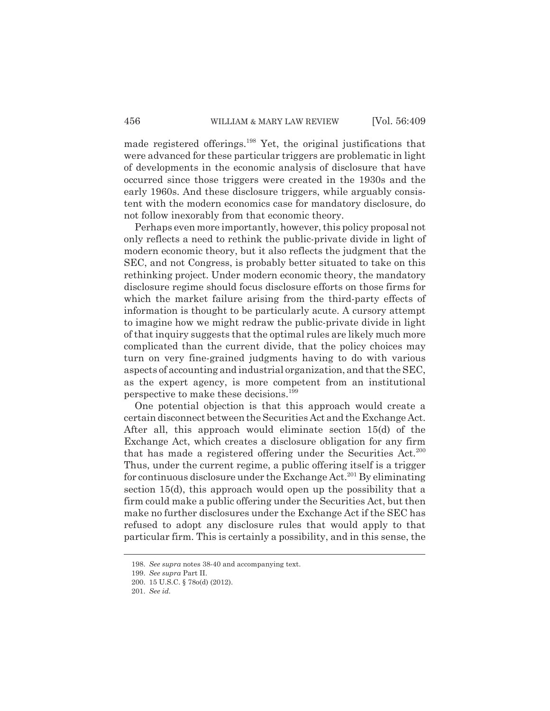made registered offerings.<sup>198</sup> Yet, the original justifications that were advanced for these particular triggers are problematic in light of developments in the economic analysis of disclosure that have occurred since those triggers were created in the 1930s and the early 1960s. And these disclosure triggers, while arguably consistent with the modern economics case for mandatory disclosure, do not follow inexorably from that economic theory.

Perhaps even more importantly, however, this policy proposal not only reflects a need to rethink the public-private divide in light of modern economic theory, but it also reflects the judgment that the SEC, and not Congress, is probably better situated to take on this rethinking project. Under modern economic theory, the mandatory disclosure regime should focus disclosure efforts on those firms for which the market failure arising from the third-party effects of information is thought to be particularly acute. A cursory attempt to imagine how we might redraw the public-private divide in light of that inquiry suggests that the optimal rules are likely much more complicated than the current divide, that the policy choices may turn on very fine-grained judgments having to do with various aspects of accounting and industrial organization, and that the SEC, as the expert agency, is more competent from an institutional perspective to make these decisions.<sup>199</sup>

One potential objection is that this approach would create a certain disconnect between the Securities Act and the Exchange Act. After all, this approach would eliminate section 15(d) of the Exchange Act, which creates a disclosure obligation for any firm that has made a registered offering under the Securities  $Act.^{200}$ Thus, under the current regime, a public offering itself is a trigger for continuous disclosure under the Exchange Act.<sup>201</sup> By eliminating section 15(d), this approach would open up the possibility that a firm could make a public offering under the Securities Act, but then make no further disclosures under the Exchange Act if the SEC has refused to adopt any disclosure rules that would apply to that particular firm. This is certainly a possibility, and in this sense, the

<sup>198.</sup> *See supra* notes 38-40 and accompanying text.

<sup>199.</sup> *See supra* Part II.

<sup>200.</sup> 15 U.S.C. § 78o(d) (2012).

<sup>201.</sup> *See id.*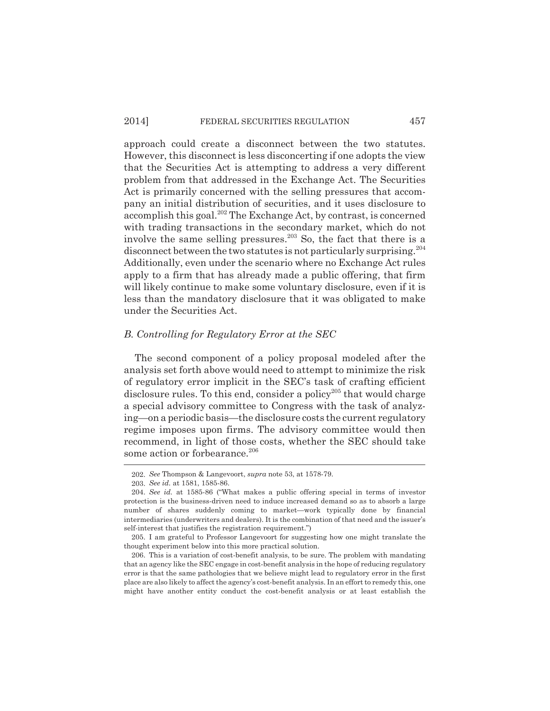## 2014] FEDERAL SECURITIES REGULATION 457

approach could create a disconnect between the two statutes. However, this disconnect is less disconcerting if one adopts the view that the Securities Act is attempting to address a very different problem from that addressed in the Exchange Act. The Securities Act is primarily concerned with the selling pressures that accompany an initial distribution of securities, and it uses disclosure to accomplish this goal.<sup>202</sup> The Exchange Act, by contrast, is concerned with trading transactions in the secondary market, which do not involve the same selling pressures.<sup>203</sup> So, the fact that there is a disconnect between the two statutes is not particularly surprising.<sup>204</sup> Additionally, even under the scenario where no Exchange Act rules apply to a firm that has already made a public offering, that firm will likely continue to make some voluntary disclosure, even if it is less than the mandatory disclosure that it was obligated to make under the Securities Act.

#### *B. Controlling for Regulatory Error at the SEC*

The second component of a policy proposal modeled after the analysis set forth above would need to attempt to minimize the risk of regulatory error implicit in the SEC's task of crafting efficient disclosure rules. To this end, consider a policy<sup>205</sup> that would charge a special advisory committee to Congress with the task of analyzing—on a periodic basis—the disclosure costs the current regulatory regime imposes upon firms. The advisory committee would then recommend, in light of those costs, whether the SEC should take some action or forbearance.<sup>206</sup>

<sup>202.</sup> *See* Thompson & Langevoort, *supra* note 53, at 1578-79.

<sup>203.</sup> *See id.* at 1581, 1585-86.

<sup>204.</sup> *See id.* at 1585-86 ("What makes a public offering special in terms of investor protection is the business-driven need to induce increased demand so as to absorb a large number of shares suddenly coming to market—work typically done by financial intermediaries (underwriters and dealers). It is the combination of that need and the issuer's self-interest that justifies the registration requirement.")

<sup>205.</sup> I am grateful to Professor Langevoort for suggesting how one might translate the thought experiment below into this more practical solution.

<sup>206.</sup> This is a variation of cost-benefit analysis, to be sure. The problem with mandating that an agency like the SEC engage in cost-benefit analysis in the hope of reducing regulatory error is that the same pathologies that we believe might lead to regulatory error in the first place are also likely to affect the agency's cost-benefit analysis. In an effort to remedy this, one might have another entity conduct the cost-benefit analysis or at least establish the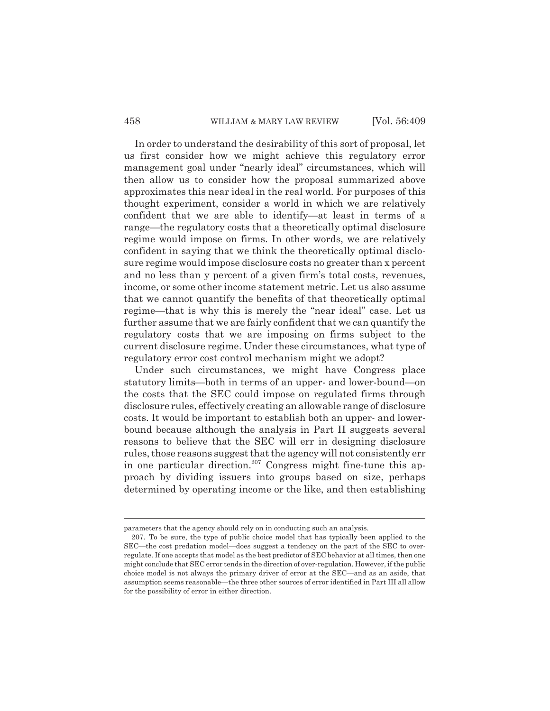## 458 WILLIAM & MARY LAW REVIEW [Vol. 56:409]

In order to understand the desirability of this sort of proposal, let us first consider how we might achieve this regulatory error management goal under "nearly ideal" circumstances, which will then allow us to consider how the proposal summarized above approximates this near ideal in the real world. For purposes of this thought experiment, consider a world in which we are relatively confident that we are able to identify—at least in terms of a range—the regulatory costs that a theoretically optimal disclosure regime would impose on firms. In other words, we are relatively confident in saying that we think the theoretically optimal disclosure regime would impose disclosure costs no greater than x percent and no less than y percent of a given firm's total costs, revenues, income, or some other income statement metric. Let us also assume that we cannot quantify the benefits of that theoretically optimal regime—that is why this is merely the "near ideal" case. Let us further assume that we are fairly confident that we can quantify the regulatory costs that we are imposing on firms subject to the current disclosure regime. Under these circumstances, what type of regulatory error cost control mechanism might we adopt?

Under such circumstances, we might have Congress place statutory limits—both in terms of an upper- and lower-bound—on the costs that the SEC could impose on regulated firms through disclosure rules, effectively creating an allowable range of disclosure costs. It would be important to establish both an upper- and lowerbound because although the analysis in Part II suggests several reasons to believe that the SEC will err in designing disclosure rules, those reasons suggest that the agency will not consistently err in one particular direction.<sup>207</sup> Congress might fine-tune this approach by dividing issuers into groups based on size, perhaps determined by operating income or the like, and then establishing

parameters that the agency should rely on in conducting such an analysis.

<sup>207.</sup> To be sure, the type of public choice model that has typically been applied to the SEC—the cost predation model—does suggest a tendency on the part of the SEC to overregulate. If one accepts that model as the best predictor of SEC behavior at all times, then one might conclude that SEC error tends in the direction of over-regulation. However, if the public choice model is not always the primary driver of error at the SEC—and as an aside, that assumption seems reasonable—the three other sources of error identified in Part III all allow for the possibility of error in either direction.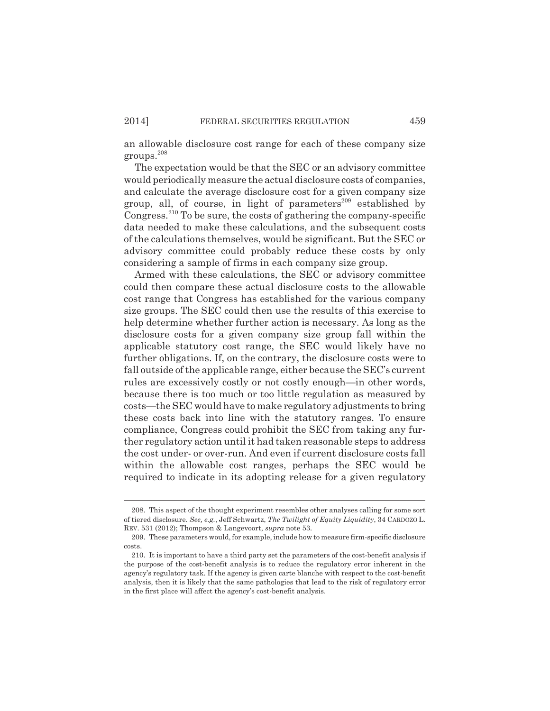an allowable disclosure cost range for each of these company size groups.<sup>208</sup>

The expectation would be that the SEC or an advisory committee would periodically measure the actual disclosure costs of companies, and calculate the average disclosure cost for a given company size group, all, of course, in light of parameters $^{209}$  established by Congress.<sup>210</sup> To be sure, the costs of gathering the company-specific data needed to make these calculations, and the subsequent costs of the calculations themselves, would be significant. But the SEC or advisory committee could probably reduce these costs by only considering a sample of firms in each company size group.

Armed with these calculations, the SEC or advisory committee could then compare these actual disclosure costs to the allowable cost range that Congress has established for the various company size groups. The SEC could then use the results of this exercise to help determine whether further action is necessary. As long as the disclosure costs for a given company size group fall within the applicable statutory cost range, the SEC would likely have no further obligations. If, on the contrary, the disclosure costs were to fall outside of the applicable range, either because the SEC's current rules are excessively costly or not costly enough—in other words, because there is too much or too little regulation as measured by costs—the SEC would have to make regulatory adjustments to bring these costs back into line with the statutory ranges. To ensure compliance, Congress could prohibit the SEC from taking any further regulatory action until it had taken reasonable steps to address the cost under- or over-run. And even if current disclosure costs fall within the allowable cost ranges, perhaps the SEC would be required to indicate in its adopting release for a given regulatory

<sup>208.</sup> This aspect of the thought experiment resembles other analyses calling for some sort of tiered disclosure. *See, e.g.*, Jeff Schwartz, *The Twilight of Equity Liquidity*, 34 CARDOZO L. REV. 531 (2012); Thompson & Langevoort, *supra* note 53.

<sup>209.</sup> These parameters would, for example, include how to measure firm-specific disclosure costs.

<sup>210.</sup> It is important to have a third party set the parameters of the cost-benefit analysis if the purpose of the cost-benefit analysis is to reduce the regulatory error inherent in the agency's regulatory task. If the agency is given carte blanche with respect to the cost-benefit analysis, then it is likely that the same pathologies that lead to the risk of regulatory error in the first place will affect the agency's cost-benefit analysis.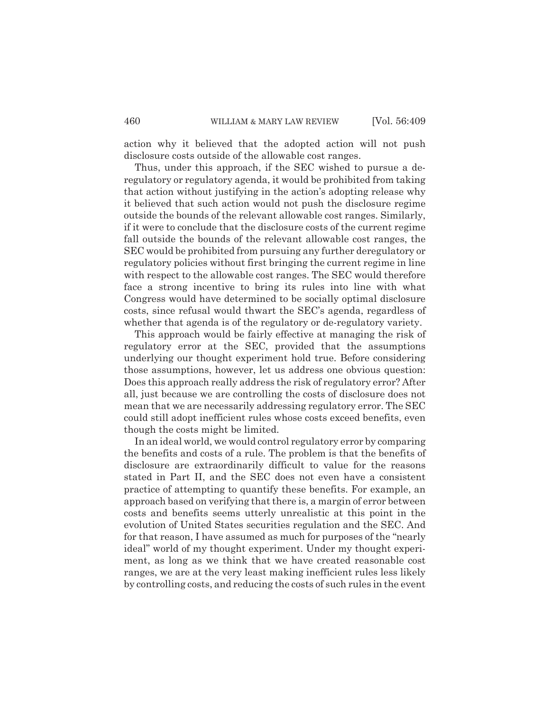action why it believed that the adopted action will not push disclosure costs outside of the allowable cost ranges.

Thus, under this approach, if the SEC wished to pursue a deregulatory or regulatory agenda, it would be prohibited from taking that action without justifying in the action's adopting release why it believed that such action would not push the disclosure regime outside the bounds of the relevant allowable cost ranges. Similarly, if it were to conclude that the disclosure costs of the current regime fall outside the bounds of the relevant allowable cost ranges, the SEC would be prohibited from pursuing any further deregulatory or regulatory policies without first bringing the current regime in line with respect to the allowable cost ranges. The SEC would therefore face a strong incentive to bring its rules into line with what Congress would have determined to be socially optimal disclosure costs, since refusal would thwart the SEC's agenda, regardless of whether that agenda is of the regulatory or de-regulatory variety.

This approach would be fairly effective at managing the risk of regulatory error at the SEC, provided that the assumptions underlying our thought experiment hold true. Before considering those assumptions, however, let us address one obvious question: Does this approach really address the risk of regulatory error? After all, just because we are controlling the costs of disclosure does not mean that we are necessarily addressing regulatory error. The SEC could still adopt inefficient rules whose costs exceed benefits, even though the costs might be limited.

In an ideal world, we would control regulatory error by comparing the benefits and costs of a rule. The problem is that the benefits of disclosure are extraordinarily difficult to value for the reasons stated in Part II, and the SEC does not even have a consistent practice of attempting to quantify these benefits. For example, an approach based on verifying that there is, a margin of error between costs and benefits seems utterly unrealistic at this point in the evolution of United States securities regulation and the SEC. And for that reason, I have assumed as much for purposes of the "nearly ideal" world of my thought experiment. Under my thought experiment, as long as we think that we have created reasonable cost ranges, we are at the very least making inefficient rules less likely by controlling costs, and reducing the costs of such rules in the event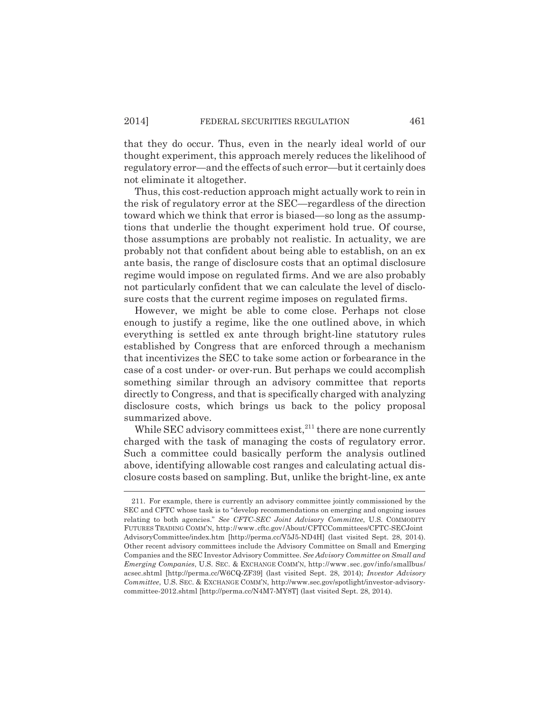that they do occur. Thus, even in the nearly ideal world of our thought experiment, this approach merely reduces the likelihood of regulatory error—and the effects of such error—but it certainly does not eliminate it altogether.

Thus, this cost-reduction approach might actually work to rein in the risk of regulatory error at the SEC—regardless of the direction toward which we think that error is biased—so long as the assumptions that underlie the thought experiment hold true. Of course, those assumptions are probably not realistic. In actuality, we are probably not that confident about being able to establish, on an ex ante basis, the range of disclosure costs that an optimal disclosure regime would impose on regulated firms. And we are also probably not particularly confident that we can calculate the level of disclosure costs that the current regime imposes on regulated firms.

However, we might be able to come close. Perhaps not close enough to justify a regime, like the one outlined above, in which everything is settled ex ante through bright-line statutory rules established by Congress that are enforced through a mechanism that incentivizes the SEC to take some action or forbearance in the case of a cost under- or over-run. But perhaps we could accomplish something similar through an advisory committee that reports directly to Congress, and that is specifically charged with analyzing disclosure costs, which brings us back to the policy proposal summarized above.

While SEC advisory committees  $exist$ <sup>211</sup>, there are none currently charged with the task of managing the costs of regulatory error. Such a committee could basically perform the analysis outlined above, identifying allowable cost ranges and calculating actual disclosure costs based on sampling. But, unlike the bright-line, ex ante

<sup>211.</sup> For example, there is currently an advisory committee jointly commissioned by the SEC and CFTC whose task is to "develop recommendations on emerging and ongoing issues relating to both agencies." *See CFTC-SEC Joint Advisory Committee*, U.S. COMMODITY FUTURES TRADING COMM'N, http://www.cftc.gov/About/CFTCCommittees/CFTC-SECJoint AdvisoryCommittee/index.htm [http://perma.cc/V5J5-ND4H] (last visited Sept. 28, 2014). Other recent advisory committees include the Advisory Committee on Small and Emerging Companies and the SEC Investor Advisory Committee. *See Advisory Committee on Small and Emerging Companies*, U.S. SEC. & EXCHANGE COMM'N, http://www.sec.gov/info/smallbus/ acsec.shtml [http://perma.cc/W6CQ-ZF39] (last visited Sept. 28, 2014); *Investor Advisory Committee*, U.S. SEC. & EXCHANGE COMM'N, http://www.sec.gov/spotlight/investor-advisorycommittee-2012.shtml [http://perma.cc/N4M7-MY8T] (last visited Sept. 28, 2014).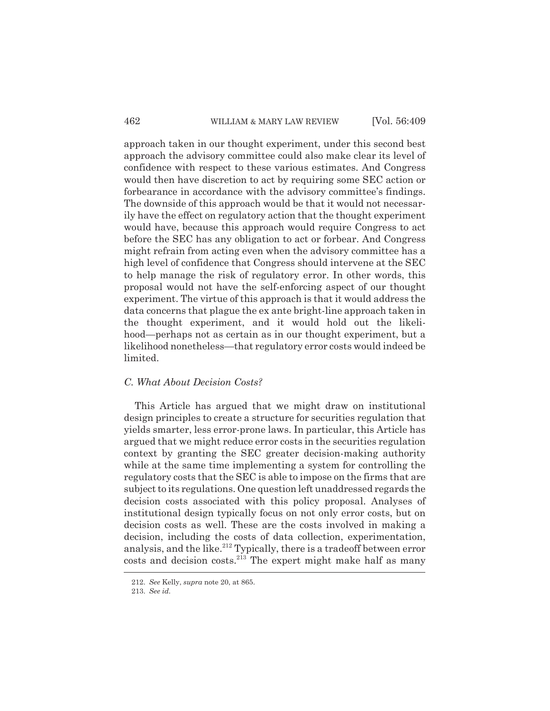approach taken in our thought experiment, under this second best approach the advisory committee could also make clear its level of confidence with respect to these various estimates. And Congress would then have discretion to act by requiring some SEC action or forbearance in accordance with the advisory committee's findings. The downside of this approach would be that it would not necessarily have the effect on regulatory action that the thought experiment would have, because this approach would require Congress to act before the SEC has any obligation to act or forbear. And Congress might refrain from acting even when the advisory committee has a high level of confidence that Congress should intervene at the SEC to help manage the risk of regulatory error. In other words, this proposal would not have the self-enforcing aspect of our thought experiment. The virtue of this approach is that it would address the data concerns that plague the ex ante bright-line approach taken in the thought experiment, and it would hold out the likelihood—perhaps not as certain as in our thought experiment, but a likelihood nonetheless—that regulatory error costs would indeed be limited.

## *C. What About Decision Costs?*

This Article has argued that we might draw on institutional design principles to create a structure for securities regulation that yields smarter, less error-prone laws. In particular, this Article has argued that we might reduce error costs in the securities regulation context by granting the SEC greater decision-making authority while at the same time implementing a system for controlling the regulatory costs that the SEC is able to impose on the firms that are subject to its regulations. One question left unaddressed regards the decision costs associated with this policy proposal. Analyses of institutional design typically focus on not only error costs, but on decision costs as well. These are the costs involved in making a decision, including the costs of data collection, experimentation, analysis, and the like.<sup>212</sup> Typically, there is a tradeoff between error costs and decision costs.<sup>213</sup> The expert might make half as many

<sup>212.</sup> *See* Kelly, *supra* note 20, at 865.

<sup>213.</sup> *See id.*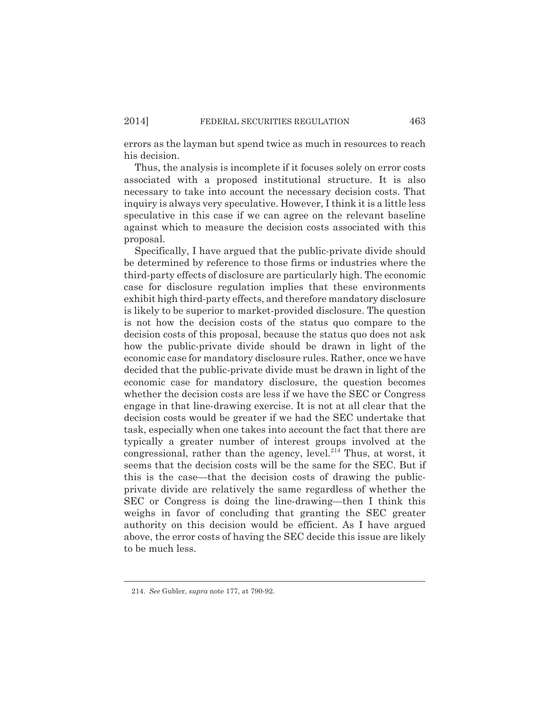errors as the layman but spend twice as much in resources to reach his decision.

Thus, the analysis is incomplete if it focuses solely on error costs associated with a proposed institutional structure. It is also necessary to take into account the necessary decision costs. That inquiry is always very speculative. However, I think it is a little less speculative in this case if we can agree on the relevant baseline against which to measure the decision costs associated with this proposal.

Specifically, I have argued that the public-private divide should be determined by reference to those firms or industries where the third-party effects of disclosure are particularly high. The economic case for disclosure regulation implies that these environments exhibit high third-party effects, and therefore mandatory disclosure is likely to be superior to market-provided disclosure. The question is not how the decision costs of the status quo compare to the decision costs of this proposal, because the status quo does not ask how the public-private divide should be drawn in light of the economic case for mandatory disclosure rules. Rather, once we have decided that the public-private divide must be drawn in light of the economic case for mandatory disclosure, the question becomes whether the decision costs are less if we have the SEC or Congress engage in that line-drawing exercise. It is not at all clear that the decision costs would be greater if we had the SEC undertake that task, especially when one takes into account the fact that there are typically a greater number of interest groups involved at the congressional, rather than the agency, level. $^{214}$  Thus, at worst, it seems that the decision costs will be the same for the SEC. But if this is the case—that the decision costs of drawing the publicprivate divide are relatively the same regardless of whether the SEC or Congress is doing the line-drawing—then I think this weighs in favor of concluding that granting the SEC greater authority on this decision would be efficient. As I have argued above, the error costs of having the SEC decide this issue are likely to be much less.

<sup>214.</sup> *See* Gubler, *supra* note 177, at 790-92.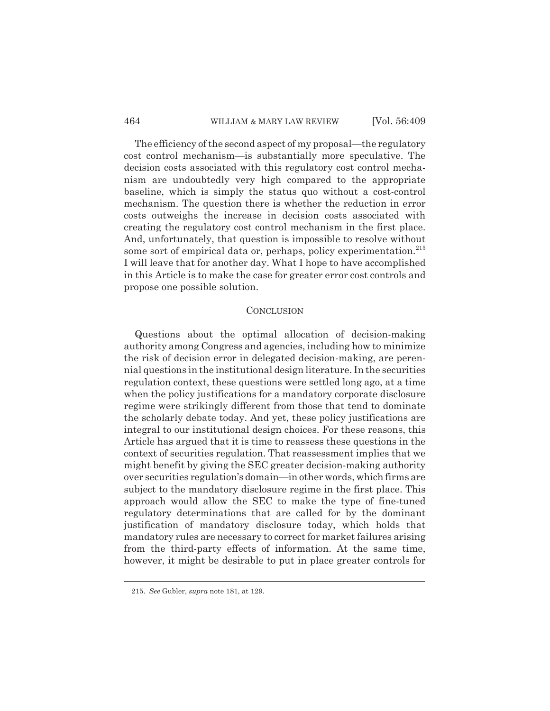#### 464 WILLIAM & MARY LAW REVIEW [Vol. 56:409

The efficiency of the second aspect of my proposal—the regulatory cost control mechanism—is substantially more speculative. The decision costs associated with this regulatory cost control mechanism are undoubtedly very high compared to the appropriate baseline, which is simply the status quo without a cost-control mechanism. The question there is whether the reduction in error costs outweighs the increase in decision costs associated with creating the regulatory cost control mechanism in the first place. And, unfortunately, that question is impossible to resolve without some sort of empirical data or, perhaps, policy experimentation. $215$ I will leave that for another day. What I hope to have accomplished in this Article is to make the case for greater error cost controls and propose one possible solution.

### **CONCLUSION**

Questions about the optimal allocation of decision-making authority among Congress and agencies, including how to minimize the risk of decision error in delegated decision-making, are perennial questions in the institutional design literature. In the securities regulation context, these questions were settled long ago, at a time when the policy justifications for a mandatory corporate disclosure regime were strikingly different from those that tend to dominate the scholarly debate today. And yet, these policy justifications are integral to our institutional design choices. For these reasons, this Article has argued that it is time to reassess these questions in the context of securities regulation. That reassessment implies that we might benefit by giving the SEC greater decision-making authority over securities regulation's domain—in other words, which firms are subject to the mandatory disclosure regime in the first place. This approach would allow the SEC to make the type of fine-tuned regulatory determinations that are called for by the dominant justification of mandatory disclosure today, which holds that mandatory rules are necessary to correct for market failures arising from the third-party effects of information. At the same time, however, it might be desirable to put in place greater controls for

<sup>215.</sup> *See* Gubler, *supra* note 181, at 129.